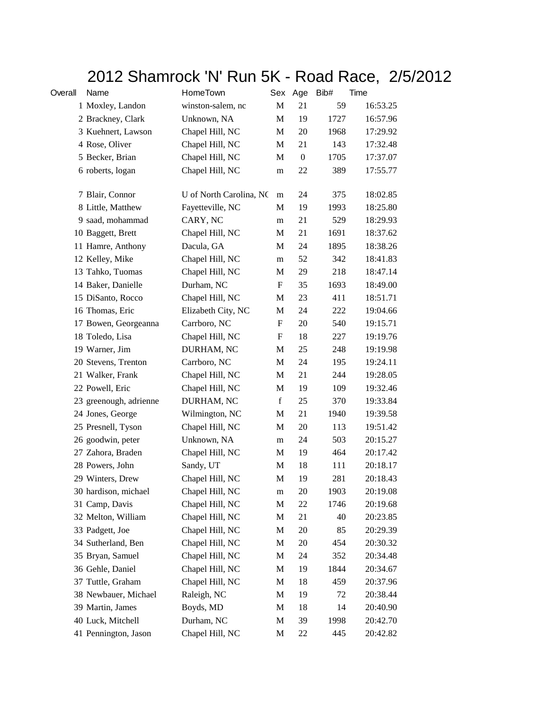## 2012 Shamrock 'N' Run 5K - Road Race, 2/5/2012

| Overall | Name                   | HomeTown                |             | Sex Age      | Bib# | Time     |
|---------|------------------------|-------------------------|-------------|--------------|------|----------|
|         | 1 Moxley, Landon       | winston-salem, nc       | $\mathbf M$ | 21           | 59   | 16:53.25 |
|         | 2 Brackney, Clark      | Unknown, NA             | M           | 19           | 1727 | 16:57.96 |
|         | 3 Kuehnert, Lawson     | Chapel Hill, NC         | М           | 20           | 1968 | 17:29.92 |
|         | 4 Rose, Oliver         | Chapel Hill, NC         | М           | 21           | 143  | 17:32.48 |
|         | 5 Becker, Brian        | Chapel Hill, NC         | M           | $\mathbf{0}$ | 1705 | 17:37.07 |
|         | 6 roberts, logan       | Chapel Hill, NC         | m           | 22           | 389  | 17:55.77 |
|         | 7 Blair, Connor        | U of North Carolina, NC | m           | 24           | 375  | 18:02.85 |
|         | 8 Little, Matthew      | Fayetteville, NC        | M           | 19           | 1993 | 18:25.80 |
|         | 9 saad, mohammad       | CARY, NC                | m           | 21           | 529  | 18:29.93 |
|         | 10 Baggett, Brett      | Chapel Hill, NC         | M           | 21           | 1691 | 18:37.62 |
|         | 11 Hamre, Anthony      | Dacula, GA              | M           | 24           | 1895 | 18:38.26 |
|         | 12 Kelley, Mike        | Chapel Hill, NC         | m           | 52           | 342  | 18:41.83 |
|         | 13 Tahko, Tuomas       | Chapel Hill, NC         | M           | 29           | 218  | 18:47.14 |
|         | 14 Baker, Danielle     | Durham, NC              | F           | 35           | 1693 | 18:49.00 |
|         | 15 DiSanto, Rocco      | Chapel Hill, NC         | M           | 23           | 411  | 18:51.71 |
|         | 16 Thomas, Eric        | Elizabeth City, NC      | M           | 24           | 222  | 19:04.66 |
|         | 17 Bowen, Georgeanna   | Carrboro, NC            | F           | 20           | 540  | 19:15.71 |
|         | 18 Toledo, Lisa        | Chapel Hill, NC         | F           | 18           | 227  | 19:19.76 |
|         | 19 Warner, Jim         | DURHAM, NC              | M           | 25           | 248  | 19:19.98 |
|         | 20 Stevens, Trenton    | Carrboro, NC            | M           | 24           | 195  | 19:24.11 |
|         | 21 Walker, Frank       | Chapel Hill, NC         | M           | 21           | 244  | 19:28.05 |
|         | 22 Powell, Eric        | Chapel Hill, NC         | M           | 19           | 109  | 19:32.46 |
|         | 23 greenough, adrienne | DURHAM, NC              | f           | 25           | 370  | 19:33.84 |
|         | 24 Jones, George       | Wilmington, NC          | M           | 21           | 1940 | 19:39.58 |
|         | 25 Presnell, Tyson     | Chapel Hill, NC         | M           | 20           | 113  | 19:51.42 |
|         | 26 goodwin, peter      | Unknown, NA             | m           | 24           | 503  | 20:15.27 |
|         | 27 Zahora, Braden      | Chapel Hill, NC         | M           | 19           | 464  | 20:17.42 |
|         | 28 Powers, John        | Sandy, UT               | M           | 18           | 111  | 20:18.17 |
|         | 29 Winters, Drew       | Chapel Hill, NC         | M           | 19           | 281  | 20:18.43 |
|         | 30 hardison, michael   | Chapel Hill, NC         | m           | 20           | 1903 | 20:19.08 |
|         | 31 Camp, Davis         | Chapel Hill, NC         | M           | 22           | 1746 | 20:19.68 |
|         | 32 Melton, William     | Chapel Hill, NC         | M           | 21           | 40   | 20:23.85 |
|         | 33 Padgett, Joe        | Chapel Hill, NC         | M           | 20           | 85   | 20:29.39 |
|         | 34 Sutherland, Ben     | Chapel Hill, NC         | M           | 20           | 454  | 20:30.32 |
|         | 35 Bryan, Samuel       | Chapel Hill, NC         | M           | 24           | 352  | 20:34.48 |
|         | 36 Gehle, Daniel       | Chapel Hill, NC         | M           | 19           | 1844 | 20:34.67 |
|         | 37 Tuttle, Graham      | Chapel Hill, NC         | M           | 18           | 459  | 20:37.96 |
|         | 38 Newbauer, Michael   | Raleigh, NC             | M           | 19           | 72   | 20:38.44 |
|         | 39 Martin, James       | Boyds, MD               | M           | 18           | 14   | 20:40.90 |
|         | 40 Luck, Mitchell      | Durham, NC              | M           | 39           | 1998 | 20:42.70 |
|         | 41 Pennington, Jason   | Chapel Hill, NC         | M           | 22           | 445  | 20:42.82 |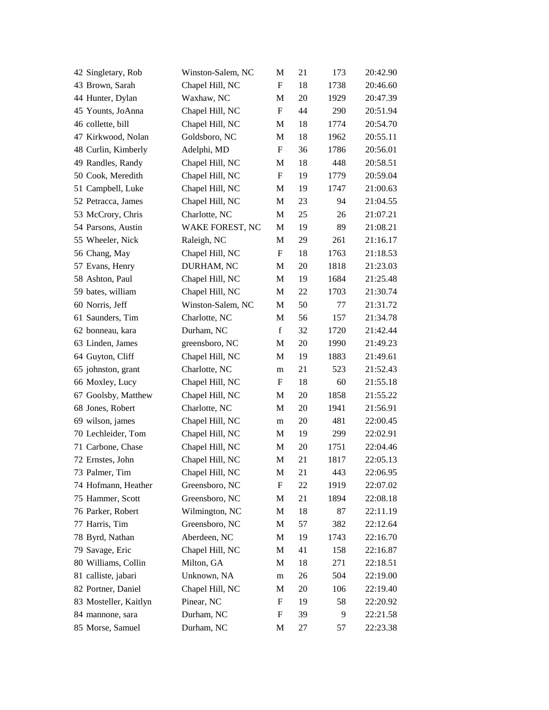| 42 Singletary, Rob    | Winston-Salem, NC | M                         | 21 | 173  | 20:42.90 |
|-----------------------|-------------------|---------------------------|----|------|----------|
| 43 Brown, Sarah       | Chapel Hill, NC   | F                         | 18 | 1738 | 20:46.60 |
| 44 Hunter, Dylan      | Waxhaw, NC        | M                         | 20 | 1929 | 20:47.39 |
| 45 Younts, JoAnna     | Chapel Hill, NC   | $\boldsymbol{\mathrm{F}}$ | 44 | 290  | 20:51.94 |
| 46 collette, bill     | Chapel Hill, NC   | $\mathbf M$               | 18 | 1774 | 20:54.70 |
| 47 Kirkwood, Nolan    | Goldsboro, NC     | M                         | 18 | 1962 | 20:55.11 |
| 48 Curlin, Kimberly   | Adelphi, MD       | F                         | 36 | 1786 | 20:56.01 |
| 49 Randles, Randy     | Chapel Hill, NC   | M                         | 18 | 448  | 20:58.51 |
| 50 Cook, Meredith     | Chapel Hill, NC   | $\boldsymbol{\mathrm{F}}$ | 19 | 1779 | 20:59.04 |
| 51 Campbell, Luke     | Chapel Hill, NC   | M                         | 19 | 1747 | 21:00.63 |
| 52 Petracca, James    | Chapel Hill, NC   | M                         | 23 | 94   | 21:04.55 |
| 53 McCrory, Chris     | Charlotte, NC     | M                         | 25 | 26   | 21:07.21 |
| 54 Parsons, Austin    | WAKE FOREST, NC   | M                         | 19 | 89   | 21:08.21 |
| 55 Wheeler, Nick      | Raleigh, NC       | M                         | 29 | 261  | 21:16.17 |
| 56 Chang, May         | Chapel Hill, NC   | $\boldsymbol{\mathrm{F}}$ | 18 | 1763 | 21:18.53 |
| 57 Evans, Henry       | DURHAM, NC        | M                         | 20 | 1818 | 21:23.03 |
| 58 Ashton, Paul       | Chapel Hill, NC   | M                         | 19 | 1684 | 21:25.48 |
| 59 bates, william     | Chapel Hill, NC   | M                         | 22 | 1703 | 21:30.74 |
| 60 Norris, Jeff       | Winston-Salem, NC | M                         | 50 | 77   | 21:31.72 |
| 61 Saunders, Tim      | Charlotte, NC     | $\mathbf M$               | 56 | 157  | 21:34.78 |
| 62 bonneau, kara      | Durham, NC        | $\mathbf f$               | 32 | 1720 | 21:42.44 |
| 63 Linden, James      | greensboro, NC    | M                         | 20 | 1990 | 21:49.23 |
| 64 Guyton, Cliff      | Chapel Hill, NC   | M                         | 19 | 1883 | 21:49.61 |
| 65 johnston, grant    | Charlotte, NC     | m                         | 21 | 523  | 21:52.43 |
| 66 Moxley, Lucy       | Chapel Hill, NC   | F                         | 18 | 60   | 21:55.18 |
| 67 Goolsby, Matthew   | Chapel Hill, NC   | M                         | 20 | 1858 | 21:55.22 |
| 68 Jones, Robert      | Charlotte, NC     | M                         | 20 | 1941 | 21:56.91 |
| 69 wilson, james      | Chapel Hill, NC   | m                         | 20 | 481  | 22:00.45 |
| 70 Lechleider, Tom    | Chapel Hill, NC   | M                         | 19 | 299  | 22:02.91 |
| 71 Carbone, Chase     | Chapel Hill, NC   | M                         | 20 | 1751 | 22:04.46 |
| 72 Ernstes, John      | Chapel Hill, NC   | M                         | 21 | 1817 | 22:05.13 |
| 73 Palmer, Tim        | Chapel Hill, NC   | M                         | 21 | 443  | 22:06.95 |
| 74 Hofmann, Heather   | Greensboro, NC    | F                         | 22 | 1919 | 22:07.02 |
| 75 Hammer, Scott      | Greensboro, NC    | M                         | 21 | 1894 | 22:08.18 |
| 76 Parker, Robert     | Wilmington, NC    | M                         | 18 | 87   | 22:11.19 |
| 77 Harris, Tim        | Greensboro, NC    | M                         | 57 | 382  | 22:12.64 |
| 78 Byrd, Nathan       | Aberdeen, NC      | M                         | 19 | 1743 | 22:16.70 |
| 79 Savage, Eric       | Chapel Hill, NC   | M                         | 41 | 158  | 22:16.87 |
| 80 Williams, Collin   | Milton, GA        | M                         | 18 | 271  | 22:18.51 |
| 81 calliste, jabari   | Unknown, NA       | m                         | 26 | 504  | 22:19.00 |
| 82 Portner, Daniel    | Chapel Hill, NC   | M                         | 20 | 106  | 22:19.40 |
| 83 Mosteller, Kaitlyn | Pinear, NC        | F                         | 19 | 58   | 22:20.92 |
| 84 mannone, sara      | Durham, NC        | F                         | 39 | 9    | 22:21.58 |
| 85 Morse, Samuel      | Durham, NC        | M                         | 27 | 57   | 22:23.38 |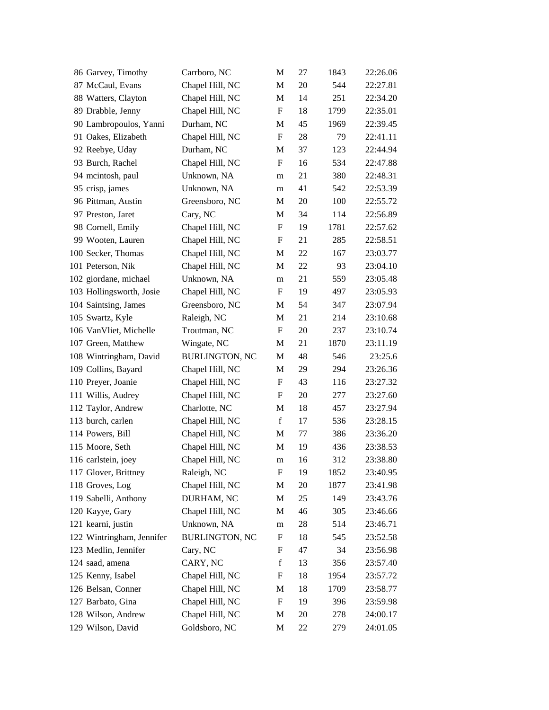| 86 Garvey, Timothy        | Carrboro, NC          | M                         | 27 | 1843 | 22:26.06 |
|---------------------------|-----------------------|---------------------------|----|------|----------|
| 87 McCaul, Evans          | Chapel Hill, NC       | M                         | 20 | 544  | 22:27.81 |
| 88 Watters, Clayton       | Chapel Hill, NC       | M                         | 14 | 251  | 22:34.20 |
| 89 Drabble, Jenny         | Chapel Hill, NC       | F                         | 18 | 1799 | 22:35.01 |
| 90 Lambropoulos, Yanni    | Durham, NC            | $\mathbf M$               | 45 | 1969 | 22:39.45 |
| 91 Oakes, Elizabeth       | Chapel Hill, NC       | $\boldsymbol{\mathrm{F}}$ | 28 | 79   | 22:41.11 |
| 92 Reebye, Uday           | Durham, NC            | M                         | 37 | 123  | 22:44.94 |
| 93 Burch, Rachel          | Chapel Hill, NC       | $\boldsymbol{\mathrm{F}}$ | 16 | 534  | 22:47.88 |
| 94 mcintosh, paul         | Unknown, NA           | m                         | 21 | 380  | 22:48.31 |
| 95 crisp, james           | Unknown, NA           | m                         | 41 | 542  | 22:53.39 |
| 96 Pittman, Austin        | Greensboro, NC        | M                         | 20 | 100  | 22:55.72 |
| 97 Preston, Jaret         | Cary, NC              | M                         | 34 | 114  | 22:56.89 |
| 98 Cornell, Emily         | Chapel Hill, NC       | $\boldsymbol{\mathrm{F}}$ | 19 | 1781 | 22:57.62 |
| 99 Wooten, Lauren         | Chapel Hill, NC       | F                         | 21 | 285  | 22:58.51 |
| 100 Secker, Thomas        | Chapel Hill, NC       | $\mathbf M$               | 22 | 167  | 23:03.77 |
| 101 Peterson, Nik         | Chapel Hill, NC       | M                         | 22 | 93   | 23:04.10 |
| 102 giordane, michael     | Unknown, NA           | m                         | 21 | 559  | 23:05.48 |
| 103 Hollingsworth, Josie  | Chapel Hill, NC       | $\boldsymbol{\mathrm{F}}$ | 19 | 497  | 23:05.93 |
| 104 Saintsing, James      | Greensboro, NC        | M                         | 54 | 347  | 23:07.94 |
| 105 Swartz, Kyle          | Raleigh, NC           | $\mathbf M$               | 21 | 214  | 23:10.68 |
| 106 VanVliet, Michelle    | Troutman, NC          | F                         | 20 | 237  | 23:10.74 |
| 107 Green, Matthew        | Wingate, NC           | M                         | 21 | 1870 | 23:11.19 |
| 108 Wintringham, David    | <b>BURLINGTON, NC</b> | M                         | 48 | 546  | 23:25.6  |
| 109 Collins, Bayard       | Chapel Hill, NC       | M                         | 29 | 294  | 23:26.36 |
| 110 Preyer, Joanie        | Chapel Hill, NC       | $\boldsymbol{\mathrm{F}}$ | 43 | 116  | 23:27.32 |
| 111 Willis, Audrey        | Chapel Hill, NC       | F                         | 20 | 277  | 23:27.60 |
| 112 Taylor, Andrew        | Charlotte, NC         | M                         | 18 | 457  | 23:27.94 |
| 113 burch, carlen         | Chapel Hill, NC       | $\mathbf f$               | 17 | 536  | 23:28.15 |
| 114 Powers, Bill          | Chapel Hill, NC       | M                         | 77 | 386  | 23:36.20 |
| 115 Moore, Seth           | Chapel Hill, NC       | M                         | 19 | 436  | 23:38.53 |
| 116 carlstein, joey       | Chapel Hill, NC       | m                         | 16 | 312  | 23:38.80 |
| 117 Glover, Brittney      | Raleigh, NC           | F                         | 19 | 1852 | 23:40.95 |
| 118 Groves, Log           | Chapel Hill, NC       | M                         | 20 | 1877 | 23:41.98 |
| 119 Sabelli, Anthony      | DURHAM, NC            | M                         | 25 | 149  | 23:43.76 |
| 120 Kayye, Gary           | Chapel Hill, NC       | M                         | 46 | 305  | 23:46.66 |
| 121 kearni, justin        | Unknown, NA           | m                         | 28 | 514  | 23:46.71 |
| 122 Wintringham, Jennifer | <b>BURLINGTON, NC</b> | F                         | 18 | 545  | 23:52.58 |
| 123 Medlin, Jennifer      | Cary, NC              | F                         | 47 | 34   | 23:56.98 |
| 124 saad, amena           | CARY, NC              | f                         | 13 | 356  | 23:57.40 |
| 125 Kenny, Isabel         | Chapel Hill, NC       | F                         | 18 | 1954 | 23:57.72 |
| 126 Belsan, Conner        | Chapel Hill, NC       | M                         | 18 | 1709 | 23:58.77 |
| 127 Barbato, Gina         | Chapel Hill, NC       | $\mathbf F$               | 19 | 396  | 23:59.98 |
| 128 Wilson, Andrew        | Chapel Hill, NC       | M                         | 20 | 278  | 24:00.17 |
| 129 Wilson, David         | Goldsboro, NC         | M                         | 22 | 279  | 24:01.05 |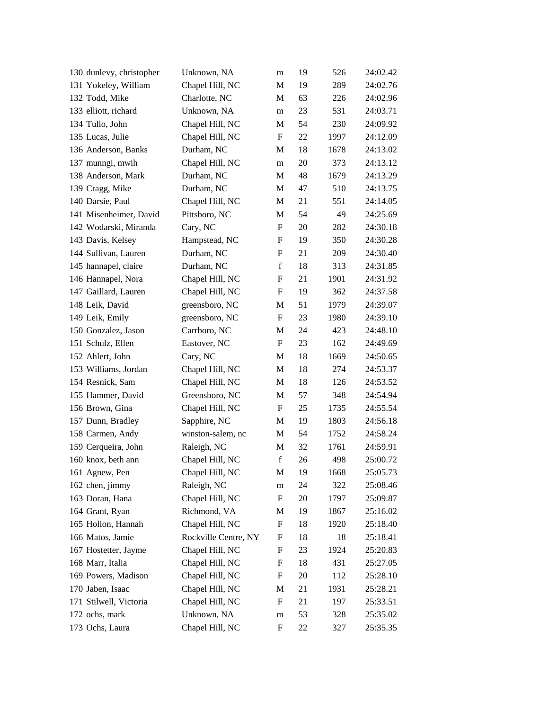| 130 dunlevy, christopher | Unknown, NA          | m                         | 19 | 526  | 24:02.42 |
|--------------------------|----------------------|---------------------------|----|------|----------|
| 131 Yokeley, William     | Chapel Hill, NC      | M                         | 19 | 289  | 24:02.76 |
| 132 Todd, Mike           | Charlotte, NC        | M                         | 63 | 226  | 24:02.96 |
| 133 elliott, richard     | Unknown, NA          | m                         | 23 | 531  | 24:03.71 |
| 134 Tullo, John          | Chapel Hill, NC      | M                         | 54 | 230  | 24:09.92 |
| 135 Lucas, Julie         | Chapel Hill, NC      | $\boldsymbol{\mathrm{F}}$ | 22 | 1997 | 24:12.09 |
| 136 Anderson, Banks      | Durham, NC           | M                         | 18 | 1678 | 24:13.02 |
| 137 munngi, mwih         | Chapel Hill, NC      | m                         | 20 | 373  | 24:13.12 |
| 138 Anderson, Mark       | Durham, NC           | M                         | 48 | 1679 | 24:13.29 |
| 139 Cragg, Mike          | Durham, NC           | M                         | 47 | 510  | 24:13.75 |
| 140 Darsie, Paul         | Chapel Hill, NC      | $\mathbf{M}$              | 21 | 551  | 24:14.05 |
| 141 Misenheimer, David   | Pittsboro, NC        | M                         | 54 | 49   | 24:25.69 |
| 142 Wodarski, Miranda    | Cary, NC             | $\boldsymbol{\mathrm{F}}$ | 20 | 282  | 24:30.18 |
| 143 Davis, Kelsey        | Hampstead, NC        | F                         | 19 | 350  | 24:30.28 |
| 144 Sullivan, Lauren     | Durham, NC           | $\boldsymbol{F}$          | 21 | 209  | 24:30.40 |
| 145 hannapel, claire     | Durham, NC           | $\mathbf f$               | 18 | 313  | 24:31.85 |
| 146 Hannapel, Nora       | Chapel Hill, NC      | F                         | 21 | 1901 | 24:31.92 |
| 147 Gaillard, Lauren     | Chapel Hill, NC      | $\boldsymbol{\mathrm{F}}$ | 19 | 362  | 24:37.58 |
| 148 Leik, David          | greensboro, NC       | M                         | 51 | 1979 | 24:39.07 |
| 149 Leik, Emily          | greensboro, NC       | F                         | 23 | 1980 | 24:39.10 |
| 150 Gonzalez, Jason      | Carrboro, NC         | M                         | 24 | 423  | 24:48.10 |
| 151 Schulz, Ellen        | Eastover, NC         | F                         | 23 | 162  | 24:49.69 |
| 152 Ahlert, John         | Cary, NC             | M                         | 18 | 1669 | 24:50.65 |
| 153 Williams, Jordan     | Chapel Hill, NC      | M                         | 18 | 274  | 24:53.37 |
| 154 Resnick, Sam         | Chapel Hill, NC      | M                         | 18 | 126  | 24:53.52 |
| 155 Hammer, David        | Greensboro, NC       | M                         | 57 | 348  | 24:54.94 |
| 156 Brown, Gina          | Chapel Hill, NC      | F                         | 25 | 1735 | 24:55.54 |
| 157 Dunn, Bradley        | Sapphire, NC         | M                         | 19 | 1803 | 24:56.18 |
| 158 Carmen, Andy         | winston-salem, nc    | M                         | 54 | 1752 | 24:58.24 |
| 159 Cerqueira, John      | Raleigh, NC          | M                         | 32 | 1761 | 24:59.91 |
| 160 knox, beth ann       | Chapel Hill, NC      | $\mathbf f$               | 26 | 498  | 25:00.72 |
| 161 Agnew, Pen           | Chapel Hill, NC      | M                         | 19 | 1668 | 25:05.73 |
| 162 chen, jimmy          | Raleigh, NC          | m                         | 24 | 322  | 25:08.46 |
| 163 Doran, Hana          | Chapel Hill, NC      | F                         | 20 | 1797 | 25:09.87 |
| 164 Grant, Ryan          | Richmond, VA         | M                         | 19 | 1867 | 25:16.02 |
| 165 Hollon, Hannah       | Chapel Hill, NC      | $\boldsymbol{\mathrm{F}}$ | 18 | 1920 | 25:18.40 |
| 166 Matos, Jamie         | Rockville Centre, NY | F                         | 18 | 18   | 25:18.41 |
| 167 Hostetter, Jayme     | Chapel Hill, NC      | F                         | 23 | 1924 | 25:20.83 |
| 168 Marr, Italia         | Chapel Hill, NC      | F                         | 18 | 431  | 25:27.05 |
| 169 Powers, Madison      | Chapel Hill, NC      | F                         | 20 | 112  | 25:28.10 |
| 170 Jaben, Isaac         | Chapel Hill, NC      | M                         | 21 | 1931 | 25:28.21 |
| 171 Stilwell, Victoria   | Chapel Hill, NC      | F                         | 21 | 197  | 25:33.51 |
| 172 ochs, mark           | Unknown, NA          | ${\rm m}$                 | 53 | 328  | 25:35.02 |
| 173 Ochs, Laura          | Chapel Hill, NC      | F                         | 22 | 327  | 25:35.35 |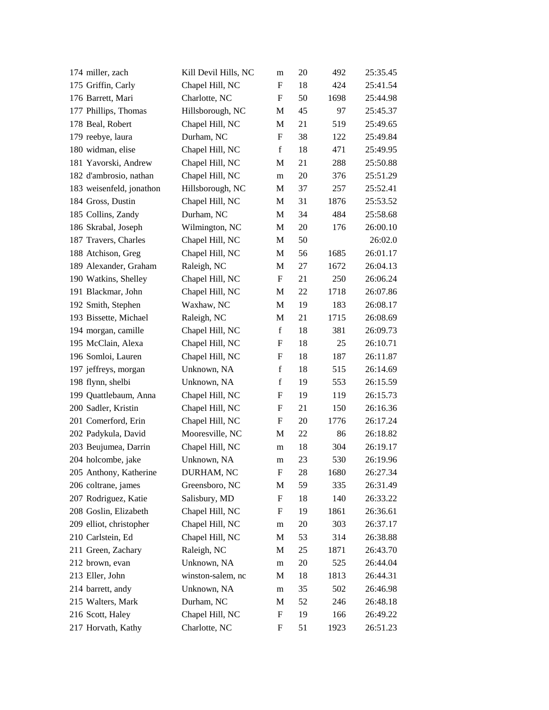| 174 miller, zach         | Kill Devil Hills, NC | m            | 20 | 492  | 25:35.45 |
|--------------------------|----------------------|--------------|----|------|----------|
| 175 Griffin, Carly       | Chapel Hill, NC      | F            | 18 | 424  | 25:41.54 |
| 176 Barrett, Mari        | Charlotte, NC        | F            | 50 | 1698 | 25:44.98 |
| 177 Phillips, Thomas     | Hillsborough, NC     | M            | 45 | 97   | 25:45.37 |
| 178 Beal, Robert         | Chapel Hill, NC      | M            | 21 | 519  | 25:49.65 |
| 179 reebye, laura        | Durham, NC           | F            | 38 | 122  | 25:49.84 |
| 180 widman, elise        | Chapel Hill, NC      | $\mathbf f$  | 18 | 471  | 25:49.95 |
| 181 Yavorski, Andrew     | Chapel Hill, NC      | M            | 21 | 288  | 25:50.88 |
| 182 d'ambrosio, nathan   | Chapel Hill, NC      | m            | 20 | 376  | 25:51.29 |
| 183 weisenfeld, jonathon | Hillsborough, NC     | M            | 37 | 257  | 25:52.41 |
| 184 Gross, Dustin        | Chapel Hill, NC      | M            | 31 | 1876 | 25:53.52 |
| 185 Collins, Zandy       | Durham, NC           | M            | 34 | 484  | 25:58.68 |
| 186 Skrabal, Joseph      | Wilmington, NC       | M            | 20 | 176  | 26:00.10 |
| 187 Travers, Charles     | Chapel Hill, NC      | $\mathbf{M}$ | 50 |      | 26:02.0  |
| 188 Atchison, Greg       | Chapel Hill, NC      | M            | 56 | 1685 | 26:01.17 |
| 189 Alexander, Graham    | Raleigh, NC          | M            | 27 | 1672 | 26:04.13 |
| 190 Watkins, Shelley     | Chapel Hill, NC      | F            | 21 | 250  | 26:06.24 |
| 191 Blackmar, John       | Chapel Hill, NC      | M            | 22 | 1718 | 26:07.86 |
| 192 Smith, Stephen       | Waxhaw, NC           | M            | 19 | 183  | 26:08.17 |
| 193 Bissette, Michael    | Raleigh, NC          | M            | 21 | 1715 | 26:08.69 |
| 194 morgan, camille      | Chapel Hill, NC      | $\mathbf f$  | 18 | 381  | 26:09.73 |
| 195 McClain, Alexa       | Chapel Hill, NC      | F            | 18 | 25   | 26:10.71 |
| 196 Somloi, Lauren       | Chapel Hill, NC      | F            | 18 | 187  | 26:11.87 |
| 197 jeffreys, morgan     | Unknown, NA          | $\mathbf f$  | 18 | 515  | 26:14.69 |
| 198 flynn, shelbi        | Unknown, NA          | $\mathbf f$  | 19 | 553  | 26:15.59 |
| 199 Quattlebaum, Anna    | Chapel Hill, NC      | F            | 19 | 119  | 26:15.73 |
| 200 Sadler, Kristin      | Chapel Hill, NC      | F            | 21 | 150  | 26:16.36 |
| 201 Comerford, Erin      | Chapel Hill, NC      | F            | 20 | 1776 | 26:17.24 |
| 202 Padykula, David      | Mooresville, NC      | M            | 22 | 86   | 26:18.82 |
| 203 Beujumea, Darrin     | Chapel Hill, NC      | m            | 18 | 304  | 26:19.17 |
| 204 holcombe, jake       | Unknown, NA          | m            | 23 | 530  | 26:19.96 |
| 205 Anthony, Katherine   | DURHAM, NC           | F            | 28 | 1680 | 26:27.34 |
| 206 coltrane, james      | Greensboro, NC       | M            | 59 | 335  | 26:31.49 |
| 207 Rodriguez, Katie     | Salisbury, MD        | F            | 18 | 140  | 26:33.22 |
| 208 Goslin, Elizabeth    | Chapel Hill, NC      | F            | 19 | 1861 | 26:36.61 |
| 209 elliot, christopher  | Chapel Hill, NC      | m            | 20 | 303  | 26:37.17 |
| 210 Carlstein, Ed        | Chapel Hill, NC      | M            | 53 | 314  | 26:38.88 |
| 211 Green, Zachary       | Raleigh, NC          | M            | 25 | 1871 | 26:43.70 |
| 212 brown, evan          | Unknown, NA          | m            | 20 | 525  | 26:44.04 |
| 213 Eller, John          | winston-salem, nc    | M            | 18 | 1813 | 26:44.31 |
| 214 barrett, andy        | Unknown, NA          | m            | 35 | 502  | 26:46.98 |
| 215 Walters, Mark        | Durham, NC           | M            | 52 | 246  | 26:48.18 |
| 216 Scott, Haley         | Chapel Hill, NC      | F            | 19 | 166  | 26:49.22 |
| 217 Horvath, Kathy       | Charlotte, NC        | F            | 51 | 1923 | 26:51.23 |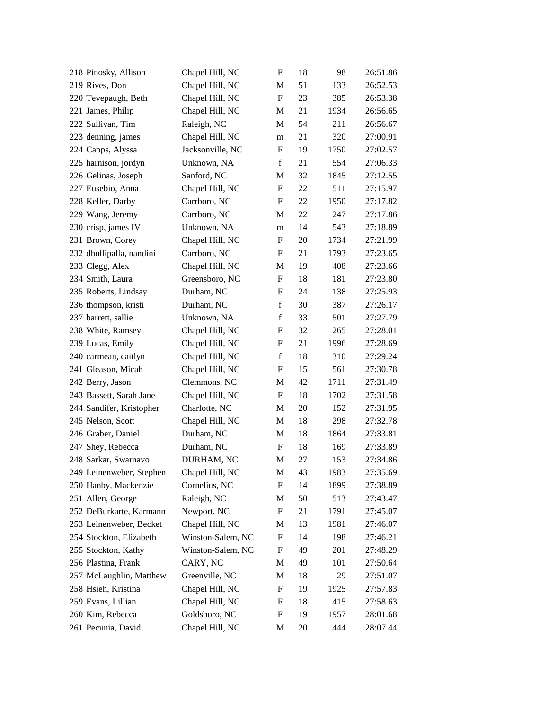| 218 Pinosky, Allison     | Chapel Hill, NC   | $\boldsymbol{\mathrm{F}}$ | 18 | 98   | 26:51.86 |
|--------------------------|-------------------|---------------------------|----|------|----------|
| 219 Rives, Don           | Chapel Hill, NC   | M                         | 51 | 133  | 26:52.53 |
| 220 Tevepaugh, Beth      | Chapel Hill, NC   | $\boldsymbol{\mathrm{F}}$ | 23 | 385  | 26:53.38 |
| 221 James, Philip        | Chapel Hill, NC   | M                         | 21 | 1934 | 26:56.65 |
| 222 Sullivan, Tim        | Raleigh, NC       | M                         | 54 | 211  | 26:56.67 |
| 223 denning, james       | Chapel Hill, NC   | m                         | 21 | 320  | 27:00.91 |
| 224 Capps, Alyssa        | Jacksonville, NC  | F                         | 19 | 1750 | 27:02.57 |
| 225 harnison, jordyn     | Unknown, NA       | $\mathbf f$               | 21 | 554  | 27:06.33 |
| 226 Gelinas, Joseph      | Sanford, NC       | M                         | 32 | 1845 | 27:12.55 |
| 227 Eusebio, Anna        | Chapel Hill, NC   | F                         | 22 | 511  | 27:15.97 |
| 228 Keller, Darby        | Carrboro, NC      | F                         | 22 | 1950 | 27:17.82 |
| 229 Wang, Jeremy         | Carrboro, NC      | M                         | 22 | 247  | 27:17.86 |
| 230 crisp, james IV      | Unknown, NA       | m                         | 14 | 543  | 27:18.89 |
| 231 Brown, Corey         | Chapel Hill, NC   | F                         | 20 | 1734 | 27:21.99 |
| 232 dhullipalla, nandini | Carrboro, NC      | F                         | 21 | 1793 | 27:23.65 |
| 233 Clegg, Alex          | Chapel Hill, NC   | M                         | 19 | 408  | 27:23.66 |
| 234 Smith, Laura         | Greensboro, NC    | F                         | 18 | 181  | 27:23.80 |
| 235 Roberts, Lindsay     | Durham, NC        | F                         | 24 | 138  | 27:25.93 |
| 236 thompson, kristi     | Durham, NC        | $\mathbf f$               | 30 | 387  | 27:26.17 |
| 237 barrett, sallie      | Unknown, NA       | $\mathbf f$               | 33 | 501  | 27:27.79 |
| 238 White, Ramsey        | Chapel Hill, NC   | F                         | 32 | 265  | 27:28.01 |
| 239 Lucas, Emily         | Chapel Hill, NC   | F                         | 21 | 1996 | 27:28.69 |
| 240 carmean, caitlyn     | Chapel Hill, NC   | $\mathbf f$               | 18 | 310  | 27:29.24 |
| 241 Gleason, Micah       | Chapel Hill, NC   | F                         | 15 | 561  | 27:30.78 |
| 242 Berry, Jason         | Clemmons, NC      | M                         | 42 | 1711 | 27:31.49 |
| 243 Bassett, Sarah Jane  | Chapel Hill, NC   | F                         | 18 | 1702 | 27:31.58 |
| 244 Sandifer, Kristopher | Charlotte, NC     | M                         | 20 | 152  | 27:31.95 |
| 245 Nelson, Scott        | Chapel Hill, NC   | M                         | 18 | 298  | 27:32.78 |
| 246 Graber, Daniel       | Durham, NC        | $\mathbf{M}$              | 18 | 1864 | 27:33.81 |
| 247 Shey, Rebecca        | Durham, NC        | F                         | 18 | 169  | 27:33.89 |
| 248 Sarkar, Swarnavo     | DURHAM, NC        | M                         | 27 | 153  | 27:34.86 |
| 249 Leinenweber, Stephen | Chapel Hill, NC   | M                         | 43 | 1983 | 27:35.69 |
| 250 Hanby, Mackenzie     | Cornelius, NC     | F                         | 14 | 1899 | 27:38.89 |
| 251 Allen, George        | Raleigh, NC       | M                         | 50 | 513  | 27:43.47 |
| 252 DeBurkarte, Karmann  | Newport, NC       | F                         | 21 | 1791 | 27:45.07 |
| 253 Leinenweber, Becket  | Chapel Hill, NC   | M                         | 13 | 1981 | 27:46.07 |
| 254 Stockton, Elizabeth  | Winston-Salem, NC | F                         | 14 | 198  | 27:46.21 |
| 255 Stockton, Kathy      | Winston-Salem, NC | F                         | 49 | 201  | 27:48.29 |
| 256 Plastina, Frank      | CARY, NC          | M                         | 49 | 101  | 27:50.64 |
| 257 McLaughlin, Matthew  | Greenville, NC    | M                         | 18 | 29   | 27:51.07 |
| 258 Hsieh, Kristina      | Chapel Hill, NC   | $\boldsymbol{\mathrm{F}}$ | 19 | 1925 | 27:57.83 |
| 259 Evans, Lillian       | Chapel Hill, NC   | F                         | 18 | 415  | 27:58.63 |
| 260 Kim, Rebecca         | Goldsboro, NC     | F                         | 19 | 1957 | 28:01.68 |
| 261 Pecunia, David       | Chapel Hill, NC   | M                         | 20 | 444  | 28:07.44 |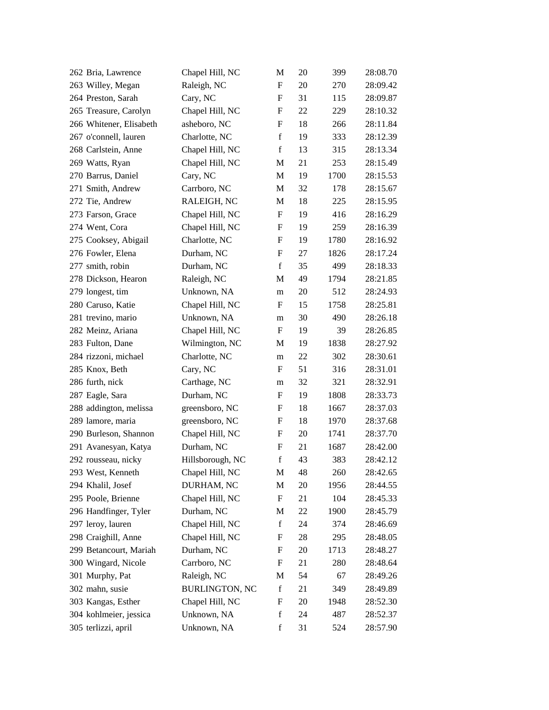| 262 Bria, Lawrence      | Chapel Hill, NC       | M                         | 20 | 399  | 28:08.70 |
|-------------------------|-----------------------|---------------------------|----|------|----------|
| 263 Willey, Megan       | Raleigh, NC           | $\boldsymbol{\mathrm{F}}$ | 20 | 270  | 28:09.42 |
| 264 Preston, Sarah      | Cary, NC              | F                         | 31 | 115  | 28:09.87 |
| 265 Treasure, Carolyn   | Chapel Hill, NC       | F                         | 22 | 229  | 28:10.32 |
| 266 Whitener, Elisabeth | asheboro, NC          | $\boldsymbol{\mathrm{F}}$ | 18 | 266  | 28:11.84 |
| 267 o'connell, lauren   | Charlotte, NC         | $\mathbf f$               | 19 | 333  | 28:12.39 |
| 268 Carlstein, Anne     | Chapel Hill, NC       | $\mathbf f$               | 13 | 315  | 28:13.34 |
| 269 Watts, Ryan         | Chapel Hill, NC       | M                         | 21 | 253  | 28:15.49 |
| 270 Barrus, Daniel      | Cary, NC              | M                         | 19 | 1700 | 28:15.53 |
| 271 Smith, Andrew       | Carrboro, NC          | M                         | 32 | 178  | 28:15.67 |
| 272 Tie, Andrew         | RALEIGH, NC           | M                         | 18 | 225  | 28:15.95 |
| 273 Farson, Grace       | Chapel Hill, NC       | F                         | 19 | 416  | 28:16.29 |
| 274 Went, Cora          | Chapel Hill, NC       | F                         | 19 | 259  | 28:16.39 |
| 275 Cooksey, Abigail    | Charlotte, NC         | F                         | 19 | 1780 | 28:16.92 |
| 276 Fowler, Elena       | Durham, NC            | $\boldsymbol{\mathrm{F}}$ | 27 | 1826 | 28:17.24 |
| 277 smith, robin        | Durham, NC            | $\mathbf f$               | 35 | 499  | 28:18.33 |
| 278 Dickson, Hearon     | Raleigh, NC           | M                         | 49 | 1794 | 28:21.85 |
| 279 longest, tim        | Unknown, NA           | m                         | 20 | 512  | 28:24.93 |
| 280 Caruso, Katie       | Chapel Hill, NC       | F                         | 15 | 1758 | 28:25.81 |
| 281 trevino, mario      | Unknown, NA           | m                         | 30 | 490  | 28:26.18 |
| 282 Meinz, Ariana       | Chapel Hill, NC       | F                         | 19 | 39   | 28:26.85 |
| 283 Fulton, Dane        | Wilmington, NC        | M                         | 19 | 1838 | 28:27.92 |
| 284 rizzoni, michael    | Charlotte, NC         | m                         | 22 | 302  | 28:30.61 |
| 285 Knox, Beth          | Cary, NC              | F                         | 51 | 316  | 28:31.01 |
| 286 furth, nick         | Carthage, NC          | m                         | 32 | 321  | 28:32.91 |
| 287 Eagle, Sara         | Durham, NC            | F                         | 19 | 1808 | 28:33.73 |
| 288 addington, melissa  | greensboro, NC        | F                         | 18 | 1667 | 28:37.03 |
| 289 lamore, maria       | greensboro, NC        | F                         | 18 | 1970 | 28:37.68 |
| 290 Burleson, Shannon   | Chapel Hill, NC       | F                         | 20 | 1741 | 28:37.70 |
| 291 Avanesyan, Katya    | Durham, NC            | $\boldsymbol{\mathrm{F}}$ | 21 | 1687 | 28:42.00 |
| 292 rousseau, nicky     | Hillsborough, NC      | $\mathbf f$               | 43 | 383  | 28:42.12 |
| 293 West, Kenneth       | Chapel Hill, NC       | M                         | 48 | 260  | 28:42.65 |
| 294 Khalil, Josef       | DURHAM, NC            | M                         | 20 | 1956 | 28:44.55 |
| 295 Poole, Brienne      | Chapel Hill, NC       | F                         | 21 | 104  | 28:45.33 |
| 296 Handfinger, Tyler   | Durham, NC            | M                         | 22 | 1900 | 28:45.79 |
| 297 leroy, lauren       | Chapel Hill, NC       | $\mathbf f$               | 24 | 374  | 28:46.69 |
| 298 Craighill, Anne     | Chapel Hill, NC       | F                         | 28 | 295  | 28:48.05 |
| 299 Betancourt, Mariah  | Durham, NC            | F                         | 20 | 1713 | 28:48.27 |
| 300 Wingard, Nicole     | Carrboro, NC          | F                         | 21 | 280  | 28:48.64 |
| 301 Murphy, Pat         | Raleigh, NC           | M                         | 54 | 67   | 28:49.26 |
| 302 mahn, susie         | <b>BURLINGTON, NC</b> | $\mathbf f$               | 21 | 349  | 28:49.89 |
| 303 Kangas, Esther      | Chapel Hill, NC       | F                         | 20 | 1948 | 28:52.30 |
| 304 kohlmeier, jessica  | Unknown, NA           | $\mathbf f$               | 24 | 487  | 28:52.37 |
| 305 terlizzi, april     | Unknown, NA           | $\mathbf f$               | 31 | 524  | 28:57.90 |
|                         |                       |                           |    |      |          |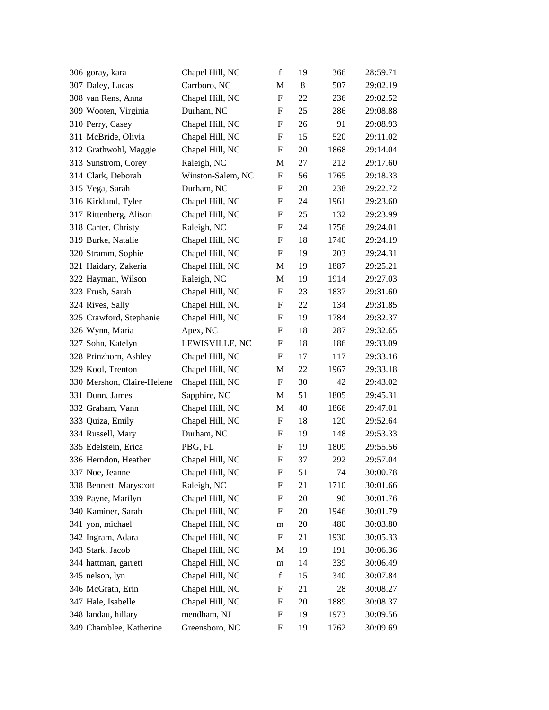| 307 Daley, Lucas<br>Carrboro, NC<br>8<br>507<br>M<br>308 van Rens, Anna<br>Chapel Hill, NC<br>$\boldsymbol{\mathrm{F}}$<br>22<br>236<br>Durham, NC<br>25<br>309 Wooten, Virginia<br>F<br>286<br>Chapel Hill, NC<br>$\boldsymbol{\mathrm{F}}$<br>26<br>91<br>310 Perry, Casey<br>311 McBride, Olivia<br>$\boldsymbol{\mathrm{F}}$<br>15<br>Chapel Hill, NC<br>520<br>20<br>312 Grathwohl, Maggie<br>Chapel Hill, NC<br>F<br>1868<br>Raleigh, NC<br>$27\,$<br>313 Sunstrom, Corey<br>212<br>M<br>314 Clark, Deborah<br>Winston-Salem, NC<br>F<br>56<br>1765<br>315 Vega, Sarah<br>Durham, NC<br>$\boldsymbol{\mathrm{F}}$<br>20<br>238<br>316 Kirkland, Tyler<br>1961<br>Chapel Hill, NC<br>F<br>24<br>Chapel Hill, NC<br>317 Rittenberg, Alison<br>F<br>25<br>132<br>318 Carter, Christy<br>Raleigh, NC<br>F<br>24<br>1756<br>18<br>319 Burke, Natalie<br>Chapel Hill, NC<br>F<br>1740<br>Chapel Hill, NC<br>$\boldsymbol{\mathrm{F}}$<br>19<br>203<br>320 Stramm, Sophie<br>321 Haidary, Zakeria<br>Chapel Hill, NC<br>19<br>1887<br>M<br>322 Hayman, Wilson<br>Raleigh, NC<br>19<br>M<br>1914<br>323 Frush, Sarah<br>Chapel Hill, NC<br>$\mathbf F$<br>23<br>1837<br>324 Rives, Sally<br>$22\,$<br>Chapel Hill, NC<br>F<br>134<br>Chapel Hill, NC<br>$\boldsymbol{\mathrm{F}}$<br>19<br>1784<br>325 Crawford, Stephanie<br>18<br>326 Wynn, Maria<br>Apex, NC<br>F<br>287<br>327 Sohn, Katelyn<br>LEWISVILLE, NC<br>18<br>186<br>F<br>328 Prinzhorn, Ashley<br>$\boldsymbol{\mathrm{F}}$<br>Chapel Hill, NC<br>17<br>117<br>22<br>329 Kool, Trenton<br>Chapel Hill, NC<br>M<br>1967<br>330 Mershon, Claire-Helene<br>Chapel Hill, NC<br>$\boldsymbol{\mathrm{F}}$<br>30<br>42<br>51<br>331 Dunn, James<br>Sapphire, NC<br>1805<br>M<br>Chapel Hill, NC<br>40<br>332 Graham, Vann<br>M<br>1866<br>333 Quiza, Emily<br>Chapel Hill, NC<br>$\mathbf F$<br>18<br>120<br>334 Russell, Mary<br>Durham, NC<br>19<br>F<br>148<br>335 Edelstein, Erica<br>PBG, FL<br>19<br>F<br>1809<br>336 Herndon, Heather<br>37<br>Chapel Hill, NC<br>F<br>292<br>337 Noe, Jeanne<br>Chapel Hill, NC<br>$\mathbf F$<br>51<br>74<br>Raleigh, NC<br>21<br>338 Bennett, Maryscott<br>F<br>1710<br>339 Payne, Marilyn<br>Chapel Hill, NC<br>F<br>20<br>90<br>340 Kaminer, Sarah<br>Chapel Hill, NC<br>20<br>F<br>1946<br>341 yon, michael<br>Chapel Hill, NC<br>20<br>480<br>m<br>342 Ingram, Adara<br>21<br>Chapel Hill, NC<br>F<br>1930<br>Chapel Hill, NC<br>19<br>343 Stark, Jacob<br>191<br>M<br>344 hattman, garrett<br>Chapel Hill, NC<br>14<br>339<br>m<br>345 nelson, lyn<br>Chapel Hill, NC<br>$\mathbf f$<br>15<br>340<br>346 McGrath, Erin<br>Chapel Hill, NC<br>21<br>F<br>28<br>347 Hale, Isabelle<br>20<br>Chapel Hill, NC<br>F<br>1889<br>348 landau, hillary<br>mendham, NJ<br>F<br>19<br>1973 | 306 goray, kara         | Chapel Hill, NC | $\mathbf f$ | 19 | 366  | 28:59.71 |
|---------------------------------------------------------------------------------------------------------------------------------------------------------------------------------------------------------------------------------------------------------------------------------------------------------------------------------------------------------------------------------------------------------------------------------------------------------------------------------------------------------------------------------------------------------------------------------------------------------------------------------------------------------------------------------------------------------------------------------------------------------------------------------------------------------------------------------------------------------------------------------------------------------------------------------------------------------------------------------------------------------------------------------------------------------------------------------------------------------------------------------------------------------------------------------------------------------------------------------------------------------------------------------------------------------------------------------------------------------------------------------------------------------------------------------------------------------------------------------------------------------------------------------------------------------------------------------------------------------------------------------------------------------------------------------------------------------------------------------------------------------------------------------------------------------------------------------------------------------------------------------------------------------------------------------------------------------------------------------------------------------------------------------------------------------------------------------------------------------------------------------------------------------------------------------------------------------------------------------------------------------------------------------------------------------------------------------------------------------------------------------------------------------------------------------------------------------------------------------------------------------------------------------------------------------------------------------------------------------------------------------------------------------------------------------------------------------------------------------------------------------------------------------------|-------------------------|-----------------|-------------|----|------|----------|
|                                                                                                                                                                                                                                                                                                                                                                                                                                                                                                                                                                                                                                                                                                                                                                                                                                                                                                                                                                                                                                                                                                                                                                                                                                                                                                                                                                                                                                                                                                                                                                                                                                                                                                                                                                                                                                                                                                                                                                                                                                                                                                                                                                                                                                                                                                                                                                                                                                                                                                                                                                                                                                                                                                                                                                                       |                         |                 |             |    |      | 29:02.19 |
|                                                                                                                                                                                                                                                                                                                                                                                                                                                                                                                                                                                                                                                                                                                                                                                                                                                                                                                                                                                                                                                                                                                                                                                                                                                                                                                                                                                                                                                                                                                                                                                                                                                                                                                                                                                                                                                                                                                                                                                                                                                                                                                                                                                                                                                                                                                                                                                                                                                                                                                                                                                                                                                                                                                                                                                       |                         |                 |             |    |      | 29:02.52 |
|                                                                                                                                                                                                                                                                                                                                                                                                                                                                                                                                                                                                                                                                                                                                                                                                                                                                                                                                                                                                                                                                                                                                                                                                                                                                                                                                                                                                                                                                                                                                                                                                                                                                                                                                                                                                                                                                                                                                                                                                                                                                                                                                                                                                                                                                                                                                                                                                                                                                                                                                                                                                                                                                                                                                                                                       |                         |                 |             |    |      | 29:08.88 |
|                                                                                                                                                                                                                                                                                                                                                                                                                                                                                                                                                                                                                                                                                                                                                                                                                                                                                                                                                                                                                                                                                                                                                                                                                                                                                                                                                                                                                                                                                                                                                                                                                                                                                                                                                                                                                                                                                                                                                                                                                                                                                                                                                                                                                                                                                                                                                                                                                                                                                                                                                                                                                                                                                                                                                                                       |                         |                 |             |    |      | 29:08.93 |
|                                                                                                                                                                                                                                                                                                                                                                                                                                                                                                                                                                                                                                                                                                                                                                                                                                                                                                                                                                                                                                                                                                                                                                                                                                                                                                                                                                                                                                                                                                                                                                                                                                                                                                                                                                                                                                                                                                                                                                                                                                                                                                                                                                                                                                                                                                                                                                                                                                                                                                                                                                                                                                                                                                                                                                                       |                         |                 |             |    |      | 29:11.02 |
|                                                                                                                                                                                                                                                                                                                                                                                                                                                                                                                                                                                                                                                                                                                                                                                                                                                                                                                                                                                                                                                                                                                                                                                                                                                                                                                                                                                                                                                                                                                                                                                                                                                                                                                                                                                                                                                                                                                                                                                                                                                                                                                                                                                                                                                                                                                                                                                                                                                                                                                                                                                                                                                                                                                                                                                       |                         |                 |             |    |      | 29:14.04 |
|                                                                                                                                                                                                                                                                                                                                                                                                                                                                                                                                                                                                                                                                                                                                                                                                                                                                                                                                                                                                                                                                                                                                                                                                                                                                                                                                                                                                                                                                                                                                                                                                                                                                                                                                                                                                                                                                                                                                                                                                                                                                                                                                                                                                                                                                                                                                                                                                                                                                                                                                                                                                                                                                                                                                                                                       |                         |                 |             |    |      | 29:17.60 |
|                                                                                                                                                                                                                                                                                                                                                                                                                                                                                                                                                                                                                                                                                                                                                                                                                                                                                                                                                                                                                                                                                                                                                                                                                                                                                                                                                                                                                                                                                                                                                                                                                                                                                                                                                                                                                                                                                                                                                                                                                                                                                                                                                                                                                                                                                                                                                                                                                                                                                                                                                                                                                                                                                                                                                                                       |                         |                 |             |    |      | 29:18.33 |
|                                                                                                                                                                                                                                                                                                                                                                                                                                                                                                                                                                                                                                                                                                                                                                                                                                                                                                                                                                                                                                                                                                                                                                                                                                                                                                                                                                                                                                                                                                                                                                                                                                                                                                                                                                                                                                                                                                                                                                                                                                                                                                                                                                                                                                                                                                                                                                                                                                                                                                                                                                                                                                                                                                                                                                                       |                         |                 |             |    |      | 29:22.72 |
|                                                                                                                                                                                                                                                                                                                                                                                                                                                                                                                                                                                                                                                                                                                                                                                                                                                                                                                                                                                                                                                                                                                                                                                                                                                                                                                                                                                                                                                                                                                                                                                                                                                                                                                                                                                                                                                                                                                                                                                                                                                                                                                                                                                                                                                                                                                                                                                                                                                                                                                                                                                                                                                                                                                                                                                       |                         |                 |             |    |      | 29:23.60 |
|                                                                                                                                                                                                                                                                                                                                                                                                                                                                                                                                                                                                                                                                                                                                                                                                                                                                                                                                                                                                                                                                                                                                                                                                                                                                                                                                                                                                                                                                                                                                                                                                                                                                                                                                                                                                                                                                                                                                                                                                                                                                                                                                                                                                                                                                                                                                                                                                                                                                                                                                                                                                                                                                                                                                                                                       |                         |                 |             |    |      | 29:23.99 |
|                                                                                                                                                                                                                                                                                                                                                                                                                                                                                                                                                                                                                                                                                                                                                                                                                                                                                                                                                                                                                                                                                                                                                                                                                                                                                                                                                                                                                                                                                                                                                                                                                                                                                                                                                                                                                                                                                                                                                                                                                                                                                                                                                                                                                                                                                                                                                                                                                                                                                                                                                                                                                                                                                                                                                                                       |                         |                 |             |    |      | 29:24.01 |
|                                                                                                                                                                                                                                                                                                                                                                                                                                                                                                                                                                                                                                                                                                                                                                                                                                                                                                                                                                                                                                                                                                                                                                                                                                                                                                                                                                                                                                                                                                                                                                                                                                                                                                                                                                                                                                                                                                                                                                                                                                                                                                                                                                                                                                                                                                                                                                                                                                                                                                                                                                                                                                                                                                                                                                                       |                         |                 |             |    |      | 29:24.19 |
|                                                                                                                                                                                                                                                                                                                                                                                                                                                                                                                                                                                                                                                                                                                                                                                                                                                                                                                                                                                                                                                                                                                                                                                                                                                                                                                                                                                                                                                                                                                                                                                                                                                                                                                                                                                                                                                                                                                                                                                                                                                                                                                                                                                                                                                                                                                                                                                                                                                                                                                                                                                                                                                                                                                                                                                       |                         |                 |             |    |      | 29:24.31 |
|                                                                                                                                                                                                                                                                                                                                                                                                                                                                                                                                                                                                                                                                                                                                                                                                                                                                                                                                                                                                                                                                                                                                                                                                                                                                                                                                                                                                                                                                                                                                                                                                                                                                                                                                                                                                                                                                                                                                                                                                                                                                                                                                                                                                                                                                                                                                                                                                                                                                                                                                                                                                                                                                                                                                                                                       |                         |                 |             |    |      | 29:25.21 |
|                                                                                                                                                                                                                                                                                                                                                                                                                                                                                                                                                                                                                                                                                                                                                                                                                                                                                                                                                                                                                                                                                                                                                                                                                                                                                                                                                                                                                                                                                                                                                                                                                                                                                                                                                                                                                                                                                                                                                                                                                                                                                                                                                                                                                                                                                                                                                                                                                                                                                                                                                                                                                                                                                                                                                                                       |                         |                 |             |    |      | 29:27.03 |
|                                                                                                                                                                                                                                                                                                                                                                                                                                                                                                                                                                                                                                                                                                                                                                                                                                                                                                                                                                                                                                                                                                                                                                                                                                                                                                                                                                                                                                                                                                                                                                                                                                                                                                                                                                                                                                                                                                                                                                                                                                                                                                                                                                                                                                                                                                                                                                                                                                                                                                                                                                                                                                                                                                                                                                                       |                         |                 |             |    |      | 29:31.60 |
|                                                                                                                                                                                                                                                                                                                                                                                                                                                                                                                                                                                                                                                                                                                                                                                                                                                                                                                                                                                                                                                                                                                                                                                                                                                                                                                                                                                                                                                                                                                                                                                                                                                                                                                                                                                                                                                                                                                                                                                                                                                                                                                                                                                                                                                                                                                                                                                                                                                                                                                                                                                                                                                                                                                                                                                       |                         |                 |             |    |      | 29:31.85 |
|                                                                                                                                                                                                                                                                                                                                                                                                                                                                                                                                                                                                                                                                                                                                                                                                                                                                                                                                                                                                                                                                                                                                                                                                                                                                                                                                                                                                                                                                                                                                                                                                                                                                                                                                                                                                                                                                                                                                                                                                                                                                                                                                                                                                                                                                                                                                                                                                                                                                                                                                                                                                                                                                                                                                                                                       |                         |                 |             |    |      | 29:32.37 |
|                                                                                                                                                                                                                                                                                                                                                                                                                                                                                                                                                                                                                                                                                                                                                                                                                                                                                                                                                                                                                                                                                                                                                                                                                                                                                                                                                                                                                                                                                                                                                                                                                                                                                                                                                                                                                                                                                                                                                                                                                                                                                                                                                                                                                                                                                                                                                                                                                                                                                                                                                                                                                                                                                                                                                                                       |                         |                 |             |    |      | 29:32.65 |
|                                                                                                                                                                                                                                                                                                                                                                                                                                                                                                                                                                                                                                                                                                                                                                                                                                                                                                                                                                                                                                                                                                                                                                                                                                                                                                                                                                                                                                                                                                                                                                                                                                                                                                                                                                                                                                                                                                                                                                                                                                                                                                                                                                                                                                                                                                                                                                                                                                                                                                                                                                                                                                                                                                                                                                                       |                         |                 |             |    |      | 29:33.09 |
|                                                                                                                                                                                                                                                                                                                                                                                                                                                                                                                                                                                                                                                                                                                                                                                                                                                                                                                                                                                                                                                                                                                                                                                                                                                                                                                                                                                                                                                                                                                                                                                                                                                                                                                                                                                                                                                                                                                                                                                                                                                                                                                                                                                                                                                                                                                                                                                                                                                                                                                                                                                                                                                                                                                                                                                       |                         |                 |             |    |      | 29:33.16 |
|                                                                                                                                                                                                                                                                                                                                                                                                                                                                                                                                                                                                                                                                                                                                                                                                                                                                                                                                                                                                                                                                                                                                                                                                                                                                                                                                                                                                                                                                                                                                                                                                                                                                                                                                                                                                                                                                                                                                                                                                                                                                                                                                                                                                                                                                                                                                                                                                                                                                                                                                                                                                                                                                                                                                                                                       |                         |                 |             |    |      | 29:33.18 |
|                                                                                                                                                                                                                                                                                                                                                                                                                                                                                                                                                                                                                                                                                                                                                                                                                                                                                                                                                                                                                                                                                                                                                                                                                                                                                                                                                                                                                                                                                                                                                                                                                                                                                                                                                                                                                                                                                                                                                                                                                                                                                                                                                                                                                                                                                                                                                                                                                                                                                                                                                                                                                                                                                                                                                                                       |                         |                 |             |    |      | 29:43.02 |
|                                                                                                                                                                                                                                                                                                                                                                                                                                                                                                                                                                                                                                                                                                                                                                                                                                                                                                                                                                                                                                                                                                                                                                                                                                                                                                                                                                                                                                                                                                                                                                                                                                                                                                                                                                                                                                                                                                                                                                                                                                                                                                                                                                                                                                                                                                                                                                                                                                                                                                                                                                                                                                                                                                                                                                                       |                         |                 |             |    |      | 29:45.31 |
|                                                                                                                                                                                                                                                                                                                                                                                                                                                                                                                                                                                                                                                                                                                                                                                                                                                                                                                                                                                                                                                                                                                                                                                                                                                                                                                                                                                                                                                                                                                                                                                                                                                                                                                                                                                                                                                                                                                                                                                                                                                                                                                                                                                                                                                                                                                                                                                                                                                                                                                                                                                                                                                                                                                                                                                       |                         |                 |             |    |      | 29:47.01 |
|                                                                                                                                                                                                                                                                                                                                                                                                                                                                                                                                                                                                                                                                                                                                                                                                                                                                                                                                                                                                                                                                                                                                                                                                                                                                                                                                                                                                                                                                                                                                                                                                                                                                                                                                                                                                                                                                                                                                                                                                                                                                                                                                                                                                                                                                                                                                                                                                                                                                                                                                                                                                                                                                                                                                                                                       |                         |                 |             |    |      | 29:52.64 |
|                                                                                                                                                                                                                                                                                                                                                                                                                                                                                                                                                                                                                                                                                                                                                                                                                                                                                                                                                                                                                                                                                                                                                                                                                                                                                                                                                                                                                                                                                                                                                                                                                                                                                                                                                                                                                                                                                                                                                                                                                                                                                                                                                                                                                                                                                                                                                                                                                                                                                                                                                                                                                                                                                                                                                                                       |                         |                 |             |    |      | 29:53.33 |
|                                                                                                                                                                                                                                                                                                                                                                                                                                                                                                                                                                                                                                                                                                                                                                                                                                                                                                                                                                                                                                                                                                                                                                                                                                                                                                                                                                                                                                                                                                                                                                                                                                                                                                                                                                                                                                                                                                                                                                                                                                                                                                                                                                                                                                                                                                                                                                                                                                                                                                                                                                                                                                                                                                                                                                                       |                         |                 |             |    |      | 29:55.56 |
|                                                                                                                                                                                                                                                                                                                                                                                                                                                                                                                                                                                                                                                                                                                                                                                                                                                                                                                                                                                                                                                                                                                                                                                                                                                                                                                                                                                                                                                                                                                                                                                                                                                                                                                                                                                                                                                                                                                                                                                                                                                                                                                                                                                                                                                                                                                                                                                                                                                                                                                                                                                                                                                                                                                                                                                       |                         |                 |             |    |      | 29:57.04 |
|                                                                                                                                                                                                                                                                                                                                                                                                                                                                                                                                                                                                                                                                                                                                                                                                                                                                                                                                                                                                                                                                                                                                                                                                                                                                                                                                                                                                                                                                                                                                                                                                                                                                                                                                                                                                                                                                                                                                                                                                                                                                                                                                                                                                                                                                                                                                                                                                                                                                                                                                                                                                                                                                                                                                                                                       |                         |                 |             |    |      | 30:00.78 |
|                                                                                                                                                                                                                                                                                                                                                                                                                                                                                                                                                                                                                                                                                                                                                                                                                                                                                                                                                                                                                                                                                                                                                                                                                                                                                                                                                                                                                                                                                                                                                                                                                                                                                                                                                                                                                                                                                                                                                                                                                                                                                                                                                                                                                                                                                                                                                                                                                                                                                                                                                                                                                                                                                                                                                                                       |                         |                 |             |    |      | 30:01.66 |
|                                                                                                                                                                                                                                                                                                                                                                                                                                                                                                                                                                                                                                                                                                                                                                                                                                                                                                                                                                                                                                                                                                                                                                                                                                                                                                                                                                                                                                                                                                                                                                                                                                                                                                                                                                                                                                                                                                                                                                                                                                                                                                                                                                                                                                                                                                                                                                                                                                                                                                                                                                                                                                                                                                                                                                                       |                         |                 |             |    |      | 30:01.76 |
|                                                                                                                                                                                                                                                                                                                                                                                                                                                                                                                                                                                                                                                                                                                                                                                                                                                                                                                                                                                                                                                                                                                                                                                                                                                                                                                                                                                                                                                                                                                                                                                                                                                                                                                                                                                                                                                                                                                                                                                                                                                                                                                                                                                                                                                                                                                                                                                                                                                                                                                                                                                                                                                                                                                                                                                       |                         |                 |             |    |      | 30:01.79 |
|                                                                                                                                                                                                                                                                                                                                                                                                                                                                                                                                                                                                                                                                                                                                                                                                                                                                                                                                                                                                                                                                                                                                                                                                                                                                                                                                                                                                                                                                                                                                                                                                                                                                                                                                                                                                                                                                                                                                                                                                                                                                                                                                                                                                                                                                                                                                                                                                                                                                                                                                                                                                                                                                                                                                                                                       |                         |                 |             |    |      | 30:03.80 |
|                                                                                                                                                                                                                                                                                                                                                                                                                                                                                                                                                                                                                                                                                                                                                                                                                                                                                                                                                                                                                                                                                                                                                                                                                                                                                                                                                                                                                                                                                                                                                                                                                                                                                                                                                                                                                                                                                                                                                                                                                                                                                                                                                                                                                                                                                                                                                                                                                                                                                                                                                                                                                                                                                                                                                                                       |                         |                 |             |    |      | 30:05.33 |
|                                                                                                                                                                                                                                                                                                                                                                                                                                                                                                                                                                                                                                                                                                                                                                                                                                                                                                                                                                                                                                                                                                                                                                                                                                                                                                                                                                                                                                                                                                                                                                                                                                                                                                                                                                                                                                                                                                                                                                                                                                                                                                                                                                                                                                                                                                                                                                                                                                                                                                                                                                                                                                                                                                                                                                                       |                         |                 |             |    |      | 30:06.36 |
|                                                                                                                                                                                                                                                                                                                                                                                                                                                                                                                                                                                                                                                                                                                                                                                                                                                                                                                                                                                                                                                                                                                                                                                                                                                                                                                                                                                                                                                                                                                                                                                                                                                                                                                                                                                                                                                                                                                                                                                                                                                                                                                                                                                                                                                                                                                                                                                                                                                                                                                                                                                                                                                                                                                                                                                       |                         |                 |             |    |      | 30:06.49 |
|                                                                                                                                                                                                                                                                                                                                                                                                                                                                                                                                                                                                                                                                                                                                                                                                                                                                                                                                                                                                                                                                                                                                                                                                                                                                                                                                                                                                                                                                                                                                                                                                                                                                                                                                                                                                                                                                                                                                                                                                                                                                                                                                                                                                                                                                                                                                                                                                                                                                                                                                                                                                                                                                                                                                                                                       |                         |                 |             |    |      | 30:07.84 |
|                                                                                                                                                                                                                                                                                                                                                                                                                                                                                                                                                                                                                                                                                                                                                                                                                                                                                                                                                                                                                                                                                                                                                                                                                                                                                                                                                                                                                                                                                                                                                                                                                                                                                                                                                                                                                                                                                                                                                                                                                                                                                                                                                                                                                                                                                                                                                                                                                                                                                                                                                                                                                                                                                                                                                                                       |                         |                 |             |    |      | 30:08.27 |
|                                                                                                                                                                                                                                                                                                                                                                                                                                                                                                                                                                                                                                                                                                                                                                                                                                                                                                                                                                                                                                                                                                                                                                                                                                                                                                                                                                                                                                                                                                                                                                                                                                                                                                                                                                                                                                                                                                                                                                                                                                                                                                                                                                                                                                                                                                                                                                                                                                                                                                                                                                                                                                                                                                                                                                                       |                         |                 |             |    |      | 30:08.37 |
|                                                                                                                                                                                                                                                                                                                                                                                                                                                                                                                                                                                                                                                                                                                                                                                                                                                                                                                                                                                                                                                                                                                                                                                                                                                                                                                                                                                                                                                                                                                                                                                                                                                                                                                                                                                                                                                                                                                                                                                                                                                                                                                                                                                                                                                                                                                                                                                                                                                                                                                                                                                                                                                                                                                                                                                       |                         |                 |             |    |      | 30:09.56 |
|                                                                                                                                                                                                                                                                                                                                                                                                                                                                                                                                                                                                                                                                                                                                                                                                                                                                                                                                                                                                                                                                                                                                                                                                                                                                                                                                                                                                                                                                                                                                                                                                                                                                                                                                                                                                                                                                                                                                                                                                                                                                                                                                                                                                                                                                                                                                                                                                                                                                                                                                                                                                                                                                                                                                                                                       | 349 Chamblee, Katherine | Greensboro, NC  | F           | 19 | 1762 | 30:09.69 |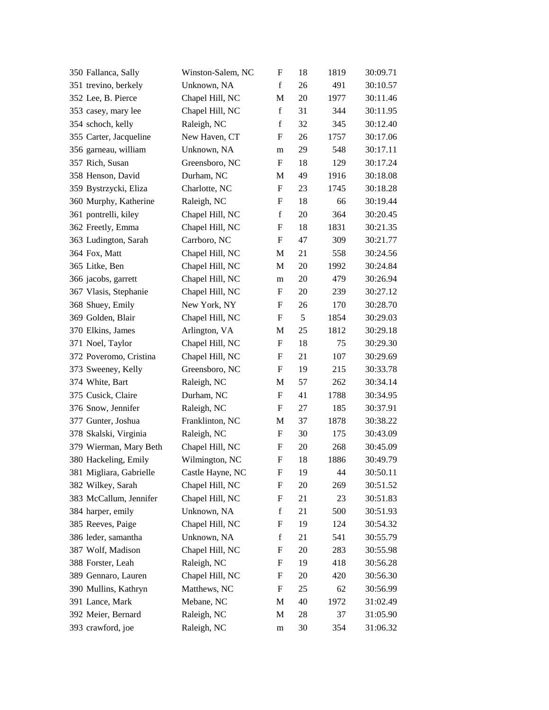| 350 Fallanca, Sally     | Winston-Salem, NC | F                         | 18     | 1819 | 30:09.71 |
|-------------------------|-------------------|---------------------------|--------|------|----------|
| 351 trevino, berkely    | Unknown, NA       | $\mathbf f$               | 26     | 491  | 30:10.57 |
| 352 Lee, B. Pierce      | Chapel Hill, NC   | M                         | 20     | 1977 | 30:11.46 |
| 353 casey, mary lee     | Chapel Hill, NC   | f                         | 31     | 344  | 30:11.95 |
| 354 schoch, kelly       | Raleigh, NC       | $\mathbf f$               | 32     | 345  | 30:12.40 |
| 355 Carter, Jacqueline  | New Haven, CT     | F                         | 26     | 1757 | 30:17.06 |
| 356 garneau, william    | Unknown, NA       | m                         | 29     | 548  | 30:17.11 |
| 357 Rich, Susan         | Greensboro, NC    | $\boldsymbol{\mathrm{F}}$ | 18     | 129  | 30:17.24 |
| 358 Henson, David       | Durham, NC        | M                         | 49     | 1916 | 30:18.08 |
| 359 Bystrzycki, Eliza   | Charlotte, NC     | F                         | 23     | 1745 | 30:18.28 |
| 360 Murphy, Katherine   | Raleigh, NC       | F                         | 18     | 66   | 30:19.44 |
| 361 pontrelli, kiley    | Chapel Hill, NC   | $\mathbf f$               | 20     | 364  | 30:20.45 |
| 362 Freetly, Emma       | Chapel Hill, NC   | F                         | 18     | 1831 | 30:21.35 |
| 363 Ludington, Sarah    | Carrboro, NC      | $\boldsymbol{\mathrm{F}}$ | 47     | 309  | 30:21.77 |
| 364 Fox, Matt           | Chapel Hill, NC   | M                         | 21     | 558  | 30:24.56 |
| 365 Litke, Ben          | Chapel Hill, NC   | M                         | $20\,$ | 1992 | 30:24.84 |
| 366 jacobs, garrett     | Chapel Hill, NC   | m                         | 20     | 479  | 30:26.94 |
| 367 Vlasis, Stephanie   | Chapel Hill, NC   | F                         | 20     | 239  | 30:27.12 |
| 368 Shuey, Emily        | New York, NY      | F                         | 26     | 170  | 30:28.70 |
| 369 Golden, Blair       | Chapel Hill, NC   | F                         | 5      | 1854 | 30:29.03 |
| 370 Elkins, James       | Arlington, VA     | M                         | 25     | 1812 | 30:29.18 |
| 371 Noel, Taylor        | Chapel Hill, NC   | F                         | 18     | 75   | 30:29.30 |
| 372 Poveromo, Cristina  | Chapel Hill, NC   | F                         | 21     | 107  | 30:29.69 |
| 373 Sweeney, Kelly      | Greensboro, NC    | $\mathbf F$               | 19     | 215  | 30:33.78 |
| 374 White, Bart         | Raleigh, NC       | M                         | 57     | 262  | 30:34.14 |
| 375 Cusick, Claire      | Durham, NC        | F                         | 41     | 1788 | 30:34.95 |
| 376 Snow, Jennifer      | Raleigh, NC       | F                         | 27     | 185  | 30:37.91 |
| 377 Gunter, Joshua      | Franklinton, NC   | M                         | 37     | 1878 | 30:38.22 |
| 378 Skalski, Virginia   | Raleigh, NC       | $\mathbf F$               | 30     | 175  | 30:43.09 |
| 379 Wierman, Mary Beth  | Chapel Hill, NC   | F                         | 20     | 268  | 30:45.09 |
| 380 Hackeling, Emily    | Wilmington, NC    | F                         | 18     | 1886 | 30:49.79 |
| 381 Migliara, Gabrielle | Castle Hayne, NC  | F                         | 19     | 44   | 30:50.11 |
| 382 Wilkey, Sarah       | Chapel Hill, NC   | F                         | 20     | 269  | 30:51.52 |
| 383 McCallum, Jennifer  | Chapel Hill, NC   | F                         | 21     | 23   | 30:51.83 |
| 384 harper, emily       | Unknown, NA       | $\mathbf f$               | 21     | 500  | 30:51.93 |
| 385 Reeves, Paige       | Chapel Hill, NC   | F                         | 19     | 124  | 30:54.32 |
| 386 leder, samantha     | Unknown, NA       | $\mathbf f$               | 21     | 541  | 30:55.79 |
| 387 Wolf, Madison       | Chapel Hill, NC   | F                         | 20     | 283  | 30:55.98 |
| 388 Forster, Leah       | Raleigh, NC       | F                         | 19     | 418  | 30:56.28 |
| 389 Gennaro, Lauren     | Chapel Hill, NC   | F                         | 20     | 420  | 30:56.30 |
| 390 Mullins, Kathryn    | Matthews, NC      | F                         | 25     | 62   | 30:56.99 |
| 391 Lance, Mark         | Mebane, NC        | M                         | 40     | 1972 | 31:02.49 |
| 392 Meier, Bernard      | Raleigh, NC       | M                         | 28     | 37   | 31:05.90 |
| 393 crawford, joe       | Raleigh, NC       | m                         | 30     | 354  | 31:06.32 |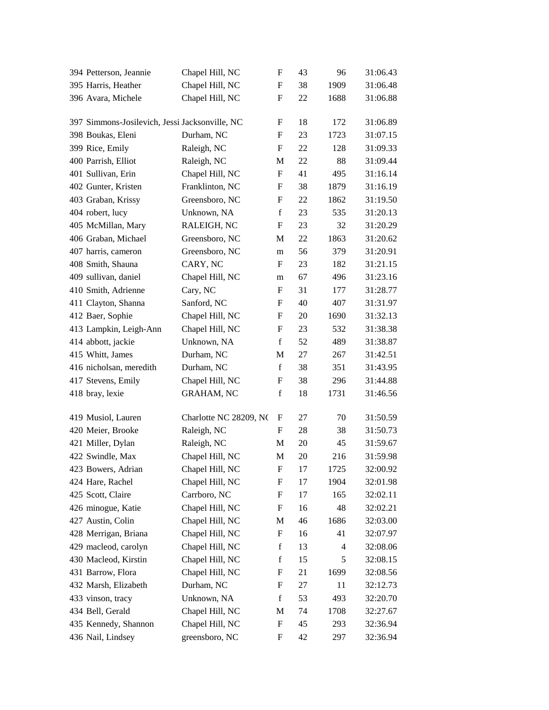| 394 Petterson, Jeannie                         | Chapel Hill, NC        | $\boldsymbol{\mathrm{F}}$ | 43 | 96   | 31:06.43 |
|------------------------------------------------|------------------------|---------------------------|----|------|----------|
| 395 Harris, Heather                            | Chapel Hill, NC        | F                         | 38 | 1909 | 31:06.48 |
| 396 Avara, Michele                             | Chapel Hill, NC        | F                         | 22 | 1688 | 31:06.88 |
| 397 Simmons-Josilevich, Jessi Jacksonville, NC |                        | F                         | 18 | 172  | 31:06.89 |
| 398 Boukas, Eleni                              | Durham, NC             | F                         | 23 | 1723 | 31:07.15 |
| 399 Rice, Emily                                | Raleigh, NC            | F                         | 22 | 128  | 31:09.33 |
| 400 Parrish, Elliot                            | Raleigh, NC            | M                         | 22 | 88   | 31:09.44 |
| 401 Sullivan, Erin                             | Chapel Hill, NC        | $\boldsymbol{\mathrm{F}}$ | 41 | 495  | 31:16.14 |
| 402 Gunter, Kristen                            | Franklinton, NC        | F                         | 38 | 1879 | 31:16.19 |
| 403 Graban, Krissy                             | Greensboro, NC         | F                         | 22 | 1862 | 31:19.50 |
| 404 robert, lucy                               | Unknown, NA            | $\mathbf f$               | 23 | 535  | 31:20.13 |
| 405 McMillan, Mary                             | RALEIGH, NC            | F                         | 23 | 32   | 31:20.29 |
| 406 Graban, Michael                            | Greensboro, NC         | M                         | 22 | 1863 | 31:20.62 |
| 407 harris, cameron                            | Greensboro, NC         | m                         | 56 | 379  | 31:20.91 |
| 408 Smith, Shauna                              | CARY, NC               | F                         | 23 | 182  | 31:21.15 |
| 409 sullivan, daniel                           | Chapel Hill, NC        | m                         | 67 | 496  | 31:23.16 |
| 410 Smith, Adrienne                            | Cary, NC               | F                         | 31 | 177  | 31:28.77 |
| 411 Clayton, Shanna                            | Sanford, NC            | F                         | 40 | 407  | 31:31.97 |
| 412 Baer, Sophie                               | Chapel Hill, NC        | F                         | 20 | 1690 | 31:32.13 |
| 413 Lampkin, Leigh-Ann                         | Chapel Hill, NC        | F                         | 23 | 532  | 31:38.38 |
| 414 abbott, jackie                             | Unknown, NA            | $\mathbf f$               | 52 | 489  | 31:38.87 |
| 415 Whitt, James                               | Durham, NC             | M                         | 27 | 267  | 31:42.51 |
| 416 nicholsan, meredith                        | Durham, NC             | $\mathbf f$               | 38 | 351  | 31:43.95 |
| 417 Stevens, Emily                             | Chapel Hill, NC        | F                         | 38 | 296  | 31:44.88 |
| 418 bray, lexie                                | <b>GRAHAM, NC</b>      | $\mathbf f$               | 18 | 1731 | 31:46.56 |
| 419 Musiol, Lauren                             | Charlotte NC 28209, NC | F                         | 27 | 70   | 31:50.59 |
| 420 Meier, Brooke                              | Raleigh, NC            | F                         | 28 | 38   | 31:50.73 |
| 421 Miller, Dylan                              | Raleigh, NC            | M                         | 20 | 45   | 31:59.67 |
| 422 Swindle, Max                               | Chapel Hill, NC        | M                         | 20 | 216  | 31:59.98 |
| 423 Bowers, Adrian                             | Chapel Hill, NC        | $\mathbf F$               | 17 | 1725 | 32:00.92 |
| 424 Hare, Rachel                               | Chapel Hill, NC        | F                         | 17 | 1904 | 32:01.98 |
| 425 Scott, Claire                              | Carrboro, NC           | F                         | 17 | 165  | 32:02.11 |
| 426 minogue, Katie                             | Chapel Hill, NC        | F                         | 16 | 48   | 32:02.21 |
| 427 Austin, Colin                              | Chapel Hill, NC        | M                         | 46 | 1686 | 32:03.00 |
| 428 Merrigan, Briana                           | Chapel Hill, NC        | $\boldsymbol{\mathrm{F}}$ | 16 | 41   | 32:07.97 |
| 429 macleod, carolyn                           | Chapel Hill, NC        | $\mathbf f$               | 13 | 4    | 32:08.06 |
| 430 Macleod, Kirstin                           | Chapel Hill, NC        | $\mathbf f$               | 15 | 5    | 32:08.15 |
| 431 Barrow, Flora                              | Chapel Hill, NC        | F                         | 21 | 1699 | 32:08.56 |
| 432 Marsh, Elizabeth                           | Durham, NC             | F                         | 27 | 11   | 32:12.73 |
| 433 vinson, tracy                              | Unknown, NA            | $\mathbf f$               | 53 | 493  | 32:20.70 |
| 434 Bell, Gerald                               | Chapel Hill, NC        | M                         | 74 | 1708 | 32:27.67 |
| 435 Kennedy, Shannon                           | Chapel Hill, NC        | F                         | 45 | 293  | 32:36.94 |
| 436 Nail, Lindsey                              | greensboro, NC         | F                         | 42 | 297  | 32:36.94 |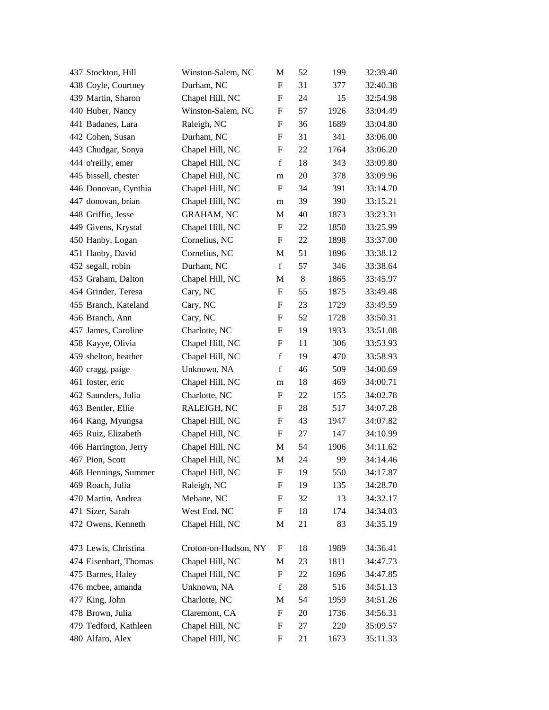| 437 Stockton, Hill    | Winston-Salem, NC    | M                         | 52 | 199  | 32:39.40 |
|-----------------------|----------------------|---------------------------|----|------|----------|
| 438 Coyle, Courtney   | Durham, NC           | F                         | 31 | 377  | 32:40.38 |
| 439 Martin, Sharon    | Chapel Hill, NC      | F                         | 24 | 15   | 32:54.98 |
| 440 Huber, Nancy      | Winston-Salem, NC    | F                         | 57 | 1926 | 33:04.49 |
| 441 Badanes, Lara     | Raleigh, NC          | F                         | 36 | 1689 | 33:04.80 |
| 442 Cohen, Susan      | Durham, NC           | $\boldsymbol{\mathrm{F}}$ | 31 | 341  | 33:06.00 |
| 443 Chudgar, Sonya    | Chapel Hill, NC      | F                         | 22 | 1764 | 33:06.20 |
| 444 o'reilly, emer    | Chapel Hill, NC      | $\mathbf f$               | 18 | 343  | 33:09.80 |
| 445 bissell, chester  | Chapel Hill, NC      | m                         | 20 | 378  | 33:09.96 |
| 446 Donovan, Cynthia  | Chapel Hill, NC      | F                         | 34 | 391  | 33:14.70 |
| 447 donovan, brian    | Chapel Hill, NC      | m                         | 39 | 390  | 33:15.21 |
| 448 Griffin, Jesse    | <b>GRAHAM, NC</b>    | M                         | 40 | 1873 | 33:23.31 |
| 449 Givens, Krystal   | Chapel Hill, NC      | F                         | 22 | 1850 | 33:25.99 |
| 450 Hanby, Logan      | Cornelius, NC        | F                         | 22 | 1898 | 33:37.00 |
| 451 Hanby, David      | Cornelius, NC        | M                         | 51 | 1896 | 33:38.12 |
| 452 segall, robin     | Durham, NC           | $\mathbf f$               | 57 | 346  | 33:38.64 |
| 453 Graham, Dalton    | Chapel Hill, NC      | М                         | 8  | 1865 | 33:45.97 |
| 454 Grinder, Teresa   | Cary, NC             | $\boldsymbol{\mathrm{F}}$ | 55 | 1875 | 33:49.48 |
| 455 Branch, Kateland  | Cary, NC             | F                         | 23 | 1729 | 33:49.59 |
| 456 Branch, Ann       | Cary, NC             | F                         | 52 | 1728 | 33:50.31 |
| 457 James, Caroline   | Charlotte, NC        | $\boldsymbol{\mathrm{F}}$ | 19 | 1933 | 33:51.08 |
| 458 Kayye, Olivia     | Chapel Hill, NC      | F                         | 11 | 306  | 33:53.93 |
| 459 shelton, heather  | Chapel Hill, NC      | $\mathbf f$               | 19 | 470  | 33:58.93 |
| 460 cragg, paige      | Unknown, NA          | $\mathbf f$               | 46 | 509  | 34:00.69 |
| 461 foster, eric      | Chapel Hill, NC      | m                         | 18 | 469  | 34:00.71 |
| 462 Saunders, Julia   | Charlotte, NC        | F                         | 22 | 155  | 34:02.78 |
| 463 Bentler, Ellie    | RALEIGH, NC          | F                         | 28 | 517  | 34:07.28 |
| 464 Kang, Myungsa     | Chapel Hill, NC      | F                         | 43 | 1947 | 34:07.82 |
| 465 Ruiz, Elizabeth   | Chapel Hill, NC      | F                         | 27 | 147  | 34:10.99 |
| 466 Harrington, Jerry | Chapel Hill, NC      | M                         | 54 | 1906 | 34:11.62 |
| 467 Pion, Scott       | Chapel Hill, NC      | M                         | 24 | 99   | 34:14.46 |
| 468 Hennings, Summer  | Chapel Hill, NC      | F                         | 19 | 550  | 34:17.87 |
| 469 Roach, Julia      | Raleigh, NC          | F                         | 19 | 135  | 34:28.70 |
| 470 Martin, Andrea    | Mebane, NC           | F                         | 32 | 13   | 34:32.17 |
| 471 Sizer, Sarah      | West End, NC         | F                         | 18 | 174  | 34:34.03 |
| 472 Owens, Kenneth    | Chapel Hill, NC      | M                         | 21 | 83   | 34:35.19 |
| 473 Lewis, Christina  | Croton-on-Hudson, NY | F                         | 18 | 1989 | 34:36.41 |
| 474 Eisenhart, Thomas | Chapel Hill, NC      | M                         | 23 | 1811 | 34:47.73 |
| 475 Barnes, Haley     | Chapel Hill, NC      | F                         | 22 | 1696 | 34:47.85 |
| 476 mcbee, amanda     | Unknown, NA          | $\mathbf f$               | 28 | 516  | 34:51.13 |
| 477 King, John        | Charlotte, NC        | M                         | 54 | 1959 | 34:51.26 |
| 478 Brown, Julia      | Claremont, CA        | F                         | 20 | 1736 | 34:56.31 |
| 479 Tedford, Kathleen | Chapel Hill, NC      | F                         | 27 | 220  | 35:09.57 |
| 480 Alfaro, Alex      | Chapel Hill, NC      | F                         | 21 | 1673 | 35:11.33 |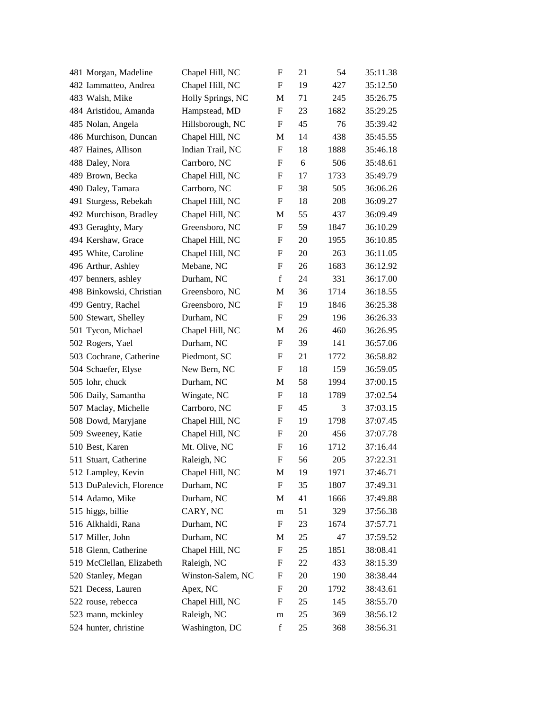| 481 Morgan, Madeline     | Chapel Hill, NC   | $\boldsymbol{\mathrm{F}}$ | 21 | 54   | 35:11.38 |
|--------------------------|-------------------|---------------------------|----|------|----------|
| 482 Iammatteo, Andrea    | Chapel Hill, NC   | F                         | 19 | 427  | 35:12.50 |
| 483 Walsh, Mike          | Holly Springs, NC | M                         | 71 | 245  | 35:26.75 |
| 484 Aristidou, Amanda    | Hampstead, MD     | F                         | 23 | 1682 | 35:29.25 |
| 485 Nolan, Angela        | Hillsborough, NC  | $\mathbf F$               | 45 | 76   | 35:39.42 |
| 486 Murchison, Duncan    | Chapel Hill, NC   | M                         | 14 | 438  | 35:45.55 |
| 487 Haines, Allison      | Indian Trail, NC  | F                         | 18 | 1888 | 35:46.18 |
| 488 Daley, Nora          | Carrboro, NC      | F                         | 6  | 506  | 35:48.61 |
| 489 Brown, Becka         | Chapel Hill, NC   | F                         | 17 | 1733 | 35:49.79 |
| 490 Daley, Tamara        | Carrboro, NC      | F                         | 38 | 505  | 36:06.26 |
| 491 Sturgess, Rebekah    | Chapel Hill, NC   | $\boldsymbol{\mathrm{F}}$ | 18 | 208  | 36:09.27 |
| 492 Murchison, Bradley   | Chapel Hill, NC   | M                         | 55 | 437  | 36:09.49 |
| 493 Geraghty, Mary       | Greensboro, NC    | $\boldsymbol{\mathrm{F}}$ | 59 | 1847 | 36:10.29 |
| 494 Kershaw, Grace       | Chapel Hill, NC   | F                         | 20 | 1955 | 36:10.85 |
| 495 White, Caroline      | Chapel Hill, NC   | F                         | 20 | 263  | 36:11.05 |
| 496 Arthur, Ashley       | Mebane, NC        | $\boldsymbol{\mathrm{F}}$ | 26 | 1683 | 36:12.92 |
| 497 benners, ashley      | Durham, NC        | $\mathbf f$               | 24 | 331  | 36:17.00 |
| 498 Binkowski, Christian | Greensboro, NC    | M                         | 36 | 1714 | 36:18.55 |
| 499 Gentry, Rachel       | Greensboro, NC    | F                         | 19 | 1846 | 36:25.38 |
| 500 Stewart, Shelley     | Durham, NC        | F                         | 29 | 196  | 36:26.33 |
| 501 Tycon, Michael       | Chapel Hill, NC   | M                         | 26 | 460  | 36:26.95 |
| 502 Rogers, Yael         | Durham, NC        | F                         | 39 | 141  | 36:57.06 |
| 503 Cochrane, Catherine  | Piedmont, SC      | F                         | 21 | 1772 | 36:58.82 |
| 504 Schaefer, Elyse      | New Bern, NC      | F                         | 18 | 159  | 36:59.05 |
| 505 lohr, chuck          | Durham, NC        | M                         | 58 | 1994 | 37:00.15 |
| 506 Daily, Samantha      | Wingate, NC       | $\boldsymbol{\mathrm{F}}$ | 18 | 1789 | 37:02.54 |
| 507 Maclay, Michelle     | Carrboro, NC      | F                         | 45 | 3    | 37:03.15 |
| 508 Dowd, Maryjane       | Chapel Hill, NC   | F                         | 19 | 1798 | 37:07.45 |
| 509 Sweeney, Katie       | Chapel Hill, NC   | F                         | 20 | 456  | 37:07.78 |
| 510 Best, Karen          | Mt. Olive, NC     | F                         | 16 | 1712 | 37:16.44 |
| 511 Stuart, Catherine    | Raleigh, NC       | F                         | 56 | 205  | 37:22.31 |
| 512 Lampley, Kevin       | Chapel Hill, NC   | M                         | 19 | 1971 | 37:46.71 |
| 513 DuPalevich, Florence | Durham, NC        | $\boldsymbol{\mathrm{F}}$ | 35 | 1807 | 37:49.31 |
| 514 Adamo, Mike          | Durham, NC        | M                         | 41 | 1666 | 37:49.88 |
| 515 higgs, billie        | CARY, NC          | m                         | 51 | 329  | 37:56.38 |
| 516 Alkhaldi, Rana       | Durham, NC        | $\mathbf F$               | 23 | 1674 | 37:57.71 |
| 517 Miller, John         | Durham, NC        | M                         | 25 | 47   | 37:59.52 |
| 518 Glenn, Catherine     | Chapel Hill, NC   | F                         | 25 | 1851 | 38:08.41 |
| 519 McClellan, Elizabeth | Raleigh, NC       | F                         | 22 | 433  | 38:15.39 |
| 520 Stanley, Megan       | Winston-Salem, NC | F                         | 20 | 190  | 38:38.44 |
| 521 Decess, Lauren       | Apex, NC          | F                         | 20 | 1792 | 38:43.61 |
| 522 rouse, rebecca       | Chapel Hill, NC   | F                         | 25 | 145  | 38:55.70 |
| 523 mann, mckinley       | Raleigh, NC       | ${\rm m}$                 | 25 | 369  | 38:56.12 |
| 524 hunter, christine    | Washington, DC    | $\mathbf f$               | 25 | 368  | 38:56.31 |
|                          |                   |                           |    |      |          |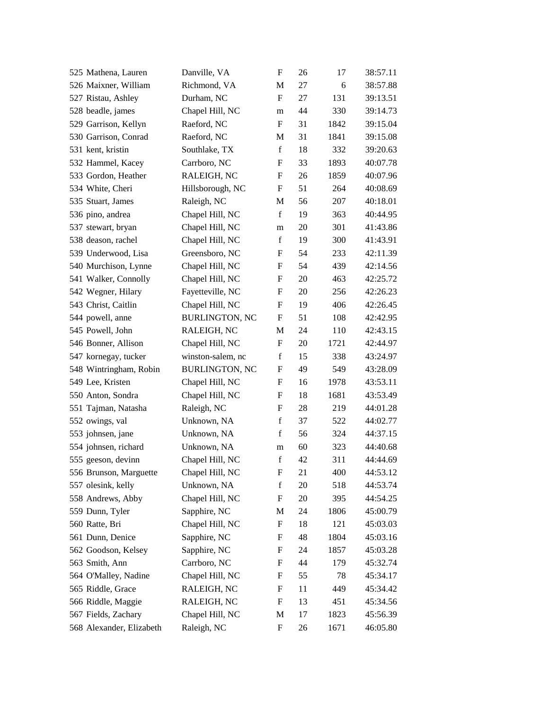| 525 Mathena, Lauren      | Danville, VA          | $\boldsymbol{\mathrm{F}}$ | 26 | 17   | 38:57.11 |
|--------------------------|-----------------------|---------------------------|----|------|----------|
| 526 Maixner, William     | Richmond, VA          | M                         | 27 | 6    | 38:57.88 |
| 527 Ristau, Ashley       | Durham, NC            | $\boldsymbol{\mathrm{F}}$ | 27 | 131  | 39:13.51 |
| 528 beadle, james        | Chapel Hill, NC       | m                         | 44 | 330  | 39:14.73 |
| 529 Garrison, Kellyn     | Raeford, NC           | F                         | 31 | 1842 | 39:15.04 |
| 530 Garrison, Conrad     | Raeford, NC           | M                         | 31 | 1841 | 39:15.08 |
| 531 kent, kristin        | Southlake, TX         | $\mathbf f$               | 18 | 332  | 39:20.63 |
| 532 Hammel, Kacey        | Carrboro, NC          | F                         | 33 | 1893 | 40:07.78 |
| 533 Gordon, Heather      | RALEIGH, NC           | F                         | 26 | 1859 | 40:07.96 |
| 534 White, Cheri         | Hillsborough, NC      | F                         | 51 | 264  | 40:08.69 |
| 535 Stuart, James        | Raleigh, NC           | M                         | 56 | 207  | 40:18.01 |
| 536 pino, andrea         | Chapel Hill, NC       | $\mathbf f$               | 19 | 363  | 40:44.95 |
| 537 stewart, bryan       | Chapel Hill, NC       | m                         | 20 | 301  | 41:43.86 |
| 538 deason, rachel       | Chapel Hill, NC       | $\mathbf f$               | 19 | 300  | 41:43.91 |
| 539 Underwood, Lisa      | Greensboro, NC        | F                         | 54 | 233  | 42:11.39 |
| 540 Murchison, Lynne     | Chapel Hill, NC       | F                         | 54 | 439  | 42:14.56 |
| 541 Walker, Connolly     | Chapel Hill, NC       | F                         | 20 | 463  | 42:25.72 |
| 542 Wegner, Hilary       | Fayetteville, NC      | F                         | 20 | 256  | 42:26.23 |
| 543 Christ, Caitlin      | Chapel Hill, NC       | F                         | 19 | 406  | 42:26.45 |
| 544 powell, anne         | <b>BURLINGTON, NC</b> | F                         | 51 | 108  | 42:42.95 |
| 545 Powell, John         | RALEIGH, NC           | M                         | 24 | 110  | 42:43.15 |
| 546 Bonner, Allison      | Chapel Hill, NC       | F                         | 20 | 1721 | 42:44.97 |
| 547 kornegay, tucker     | winston-salem, nc     | $\mathbf f$               | 15 | 338  | 43:24.97 |
| 548 Wintringham, Robin   | <b>BURLINGTON, NC</b> | F                         | 49 | 549  | 43:28.09 |
| 549 Lee, Kristen         | Chapel Hill, NC       | F                         | 16 | 1978 | 43:53.11 |
| 550 Anton, Sondra        | Chapel Hill, NC       | F                         | 18 | 1681 | 43:53.49 |
| 551 Tajman, Natasha      | Raleigh, NC           | F                         | 28 | 219  | 44:01.28 |
| 552 owings, val          | Unknown, NA           | $\mathbf f$               | 37 | 522  | 44:02.77 |
| 553 johnsen, jane        | Unknown, NA           | $\mathbf f$               | 56 | 324  | 44:37.15 |
| 554 johnsen, richard     | Unknown, NA           | m                         | 60 | 323  | 44:40.68 |
| 555 geeson, devinn       | Chapel Hill, NC       | $\mathbf f$               | 42 | 311  | 44:44.69 |
| 556 Brunson, Marguette   | Chapel Hill, NC       | F                         | 21 | 400  | 44:53.12 |
| 557 olesink, kelly       | Unknown, NA           | $\mathbf f$               | 20 | 518  | 44:53.74 |
| 558 Andrews, Abby        | Chapel Hill, NC       | F                         | 20 | 395  | 44:54.25 |
| 559 Dunn, Tyler          | Sapphire, NC          | M                         | 24 | 1806 | 45:00.79 |
| 560 Ratte, Bri           | Chapel Hill, NC       | $\boldsymbol{\mathrm{F}}$ | 18 | 121  | 45:03.03 |
| 561 Dunn, Denice         | Sapphire, NC          | F                         | 48 | 1804 | 45:03.16 |
| 562 Goodson, Kelsey      | Sapphire, NC          | F                         | 24 | 1857 | 45:03.28 |
| 563 Smith, Ann           | Carrboro, NC          | F                         | 44 | 179  | 45:32.74 |
| 564 O'Malley, Nadine     | Chapel Hill, NC       | F                         | 55 | 78   | 45:34.17 |
| 565 Riddle, Grace        | RALEIGH, NC           | F                         | 11 | 449  | 45:34.42 |
| 566 Riddle, Maggie       | RALEIGH, NC           | F                         | 13 | 451  | 45:34.56 |
| 567 Fields, Zachary      | Chapel Hill, NC       | M                         | 17 | 1823 | 45:56.39 |
| 568 Alexander, Elizabeth | Raleigh, NC           | F                         | 26 | 1671 | 46:05.80 |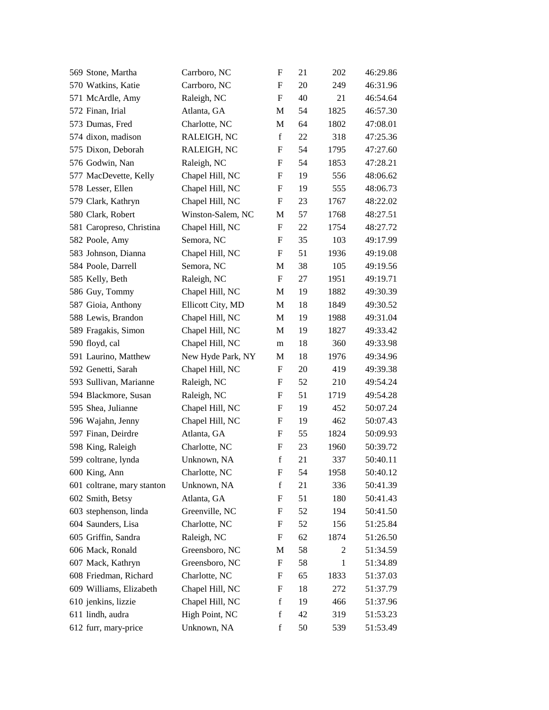| 569 Stone, Martha          | Carrboro, NC      | F                         | 21 | 202  | 46:29.86 |
|----------------------------|-------------------|---------------------------|----|------|----------|
| 570 Watkins, Katie         | Carrboro, NC      | F                         | 20 | 249  | 46:31.96 |
| 571 McArdle, Amy           | Raleigh, NC       | $\boldsymbol{\mathrm{F}}$ | 40 | 21   | 46:54.64 |
| 572 Finan, Irial           | Atlanta, GA       | M                         | 54 | 1825 | 46:57.30 |
| 573 Dumas, Fred            | Charlotte, NC     | M                         | 64 | 1802 | 47:08.01 |
| 574 dixon, madison         | RALEIGH, NC       | $\mathbf f$               | 22 | 318  | 47:25.36 |
| 575 Dixon, Deborah         | RALEIGH, NC       | F                         | 54 | 1795 | 47:27.60 |
| 576 Godwin, Nan            | Raleigh, NC       | F                         | 54 | 1853 | 47:28.21 |
| 577 MacDevette, Kelly      | Chapel Hill, NC   | F                         | 19 | 556  | 48:06.62 |
| 578 Lesser, Ellen          | Chapel Hill, NC   | F                         | 19 | 555  | 48:06.73 |
| 579 Clark, Kathryn         | Chapel Hill, NC   | F                         | 23 | 1767 | 48:22.02 |
| 580 Clark, Robert          | Winston-Salem, NC | M                         | 57 | 1768 | 48:27.51 |
| 581 Caropreso, Christina   | Chapel Hill, NC   | $\boldsymbol{\mathrm{F}}$ | 22 | 1754 | 48:27.72 |
| 582 Poole, Amy             | Semora, NC        | F                         | 35 | 103  | 49:17.99 |
| 583 Johnson, Dianna        | Chapel Hill, NC   | F                         | 51 | 1936 | 49:19.08 |
| 584 Poole, Darrell         | Semora, NC        | M                         | 38 | 105  | 49:19.56 |
| 585 Kelly, Beth            | Raleigh, NC       | F                         | 27 | 1951 | 49:19.71 |
| 586 Guy, Tommy             | Chapel Hill, NC   | M                         | 19 | 1882 | 49:30.39 |
| 587 Gioia, Anthony         | Ellicott City, MD | M                         | 18 | 1849 | 49:30.52 |
| 588 Lewis, Brandon         | Chapel Hill, NC   | M                         | 19 | 1988 | 49:31.04 |
| 589 Fragakis, Simon        | Chapel Hill, NC   | M                         | 19 | 1827 | 49:33.42 |
| 590 floyd, cal             | Chapel Hill, NC   | m                         | 18 | 360  | 49:33.98 |
| 591 Laurino, Matthew       | New Hyde Park, NY | M                         | 18 | 1976 | 49:34.96 |
| 592 Genetti, Sarah         | Chapel Hill, NC   | F                         | 20 | 419  | 49:39.38 |
| 593 Sullivan, Marianne     | Raleigh, NC       | F                         | 52 | 210  | 49:54.24 |
| 594 Blackmore, Susan       | Raleigh, NC       | F                         | 51 | 1719 | 49:54.28 |
| 595 Shea, Julianne         | Chapel Hill, NC   | F                         | 19 | 452  | 50:07.24 |
| 596 Wajahn, Jenny          | Chapel Hill, NC   | F                         | 19 | 462  | 50:07.43 |
| 597 Finan, Deirdre         | Atlanta, GA       | F                         | 55 | 1824 | 50:09.93 |
| 598 King, Raleigh          | Charlotte, NC     | F                         | 23 | 1960 | 50:39.72 |
| 599 coltrane, lynda        | Unknown, NA       | $\mathbf f$               | 21 | 337  | 50:40.11 |
| 600 King, Ann              | Charlotte, NC     | F                         | 54 | 1958 | 50:40.12 |
| 601 coltrane, mary stanton | Unknown, NA       | $\mathbf f$               | 21 | 336  | 50:41.39 |
| 602 Smith, Betsy           | Atlanta, GA       | F                         | 51 | 180  | 50:41.43 |
| 603 stephenson, linda      | Greenville, NC    | F                         | 52 | 194  | 50:41.50 |
| 604 Saunders, Lisa         | Charlotte, NC     | F                         | 52 | 156  | 51:25.84 |
| 605 Griffin, Sandra        | Raleigh, NC       | F                         | 62 | 1874 | 51:26.50 |
| 606 Mack, Ronald           | Greensboro, NC    | M                         | 58 | 2    | 51:34.59 |
| 607 Mack, Kathryn          | Greensboro, NC    | F                         | 58 | 1    | 51:34.89 |
| 608 Friedman, Richard      | Charlotte, NC     | F                         | 65 | 1833 | 51:37.03 |
| 609 Williams, Elizabeth    | Chapel Hill, NC   | F                         | 18 | 272  | 51:37.79 |
| 610 jenkins, lizzie        | Chapel Hill, NC   | $\mathbf f$               | 19 | 466  | 51:37.96 |
| 611 lindh, audra           | High Point, NC    | $\mathbf f$               | 42 | 319  | 51:53.23 |
| 612 furr, mary-price       | Unknown, NA       | $\mathbf f$               | 50 | 539  | 51:53.49 |
|                            |                   |                           |    |      |          |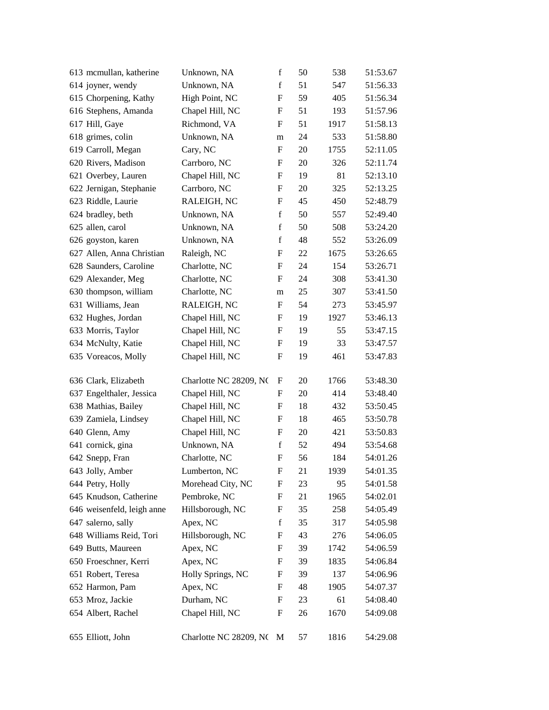| 613 mcmullan, katherine    | Unknown, NA            | $\mathbf f$ | 50 | 538  | 51:53.67 |
|----------------------------|------------------------|-------------|----|------|----------|
| 614 joyner, wendy          | Unknown, NA            | $\mathbf f$ | 51 | 547  | 51:56.33 |
| 615 Chorpening, Kathy      | High Point, NC         | F           | 59 | 405  | 51:56.34 |
| 616 Stephens, Amanda       | Chapel Hill, NC        | F           | 51 | 193  | 51:57.96 |
| 617 Hill, Gaye             | Richmond, VA           | F           | 51 | 1917 | 51:58.13 |
| 618 grimes, colin          | Unknown, NA            | m           | 24 | 533  | 51:58.80 |
| 619 Carroll, Megan         | Cary, NC               | F           | 20 | 1755 | 52:11.05 |
| 620 Rivers, Madison        | Carrboro, NC           | F           | 20 | 326  | 52:11.74 |
| 621 Overbey, Lauren        | Chapel Hill, NC        | F           | 19 | 81   | 52:13.10 |
| 622 Jernigan, Stephanie    | Carrboro, NC           | F           | 20 | 325  | 52:13.25 |
| 623 Riddle, Laurie         | RALEIGH, NC            | F           | 45 | 450  | 52:48.79 |
| 624 bradley, beth          | Unknown, NA            | $\mathbf f$ | 50 | 557  | 52:49.40 |
| 625 allen, carol           | Unknown, NA            | f           | 50 | 508  | 53:24.20 |
| 626 goyston, karen         | Unknown, NA            | $\mathbf f$ | 48 | 552  | 53:26.09 |
| 627 Allen, Anna Christian  | Raleigh, NC            | F           | 22 | 1675 | 53:26.65 |
| 628 Saunders, Caroline     | Charlotte, NC          | F           | 24 | 154  | 53:26.71 |
| 629 Alexander, Meg         | Charlotte, NC          | F           | 24 | 308  | 53:41.30 |
| 630 thompson, william      | Charlotte, NC          | m           | 25 | 307  | 53:41.50 |
| 631 Williams, Jean         | RALEIGH, NC            | F           | 54 | 273  | 53:45.97 |
| 632 Hughes, Jordan         | Chapel Hill, NC        | F           | 19 | 1927 | 53:46.13 |
| 633 Morris, Taylor         | Chapel Hill, NC        | F           | 19 | 55   | 53:47.15 |
| 634 McNulty, Katie         | Chapel Hill, NC        | F           | 19 | 33   | 53:47.57 |
| 635 Voreacos, Molly        | Chapel Hill, NC        | F           | 19 | 461  | 53:47.83 |
| 636 Clark, Elizabeth       | Charlotte NC 28209, NC | F           | 20 | 1766 | 53:48.30 |
| 637 Engelthaler, Jessica   | Chapel Hill, NC        | F           | 20 | 414  | 53:48.40 |
| 638 Mathias, Bailey        | Chapel Hill, NC        | F           | 18 | 432  | 53:50.45 |
| 639 Zamiela, Lindsey       | Chapel Hill, NC        | F           | 18 | 465  | 53:50.78 |
| 640 Glenn, Amy             | Chapel Hill, NC        | F           | 20 | 421  | 53:50.83 |
| 641 cornick, gina          | Unknown, NA            | $\mathbf f$ | 52 | 494  | 53:54.68 |
| 642 Snepp, Fran            | Charlotte, NC          | F           | 56 | 184  | 54:01.26 |
| 643 Jolly, Amber           | Lumberton, NC          | F           | 21 | 1939 | 54:01.35 |
| 644 Petry, Holly           | Morehead City, NC      | F           | 23 | 95   | 54:01.58 |
| 645 Knudson, Catherine     | Pembroke, NC           | F           | 21 | 1965 | 54:02.01 |
| 646 weisenfeld, leigh anne | Hillsborough, NC       | F           | 35 | 258  | 54:05.49 |
| 647 salerno, sally         | Apex, NC               | $\mathbf f$ | 35 | 317  | 54:05.98 |
| 648 Williams Reid, Tori    | Hillsborough, NC       | F           | 43 | 276  | 54:06.05 |
| 649 Butts, Maureen         | Apex, NC               | F           | 39 | 1742 | 54:06.59 |
| 650 Froeschner, Kerri      | Apex, NC               | F           | 39 | 1835 | 54:06.84 |
| 651 Robert, Teresa         | Holly Springs, NC      | F           | 39 | 137  | 54:06.96 |
| 652 Harmon, Pam            | Apex, NC               | F           | 48 | 1905 | 54:07.37 |
| 653 Mroz, Jackie           | Durham, NC             | F           | 23 | 61   | 54:08.40 |
| 654 Albert, Rachel         | Chapel Hill, NC        | F           | 26 | 1670 | 54:09.08 |
| 655 Elliott, John          | Charlotte NC 28209, NC | M           | 57 | 1816 | 54:29.08 |